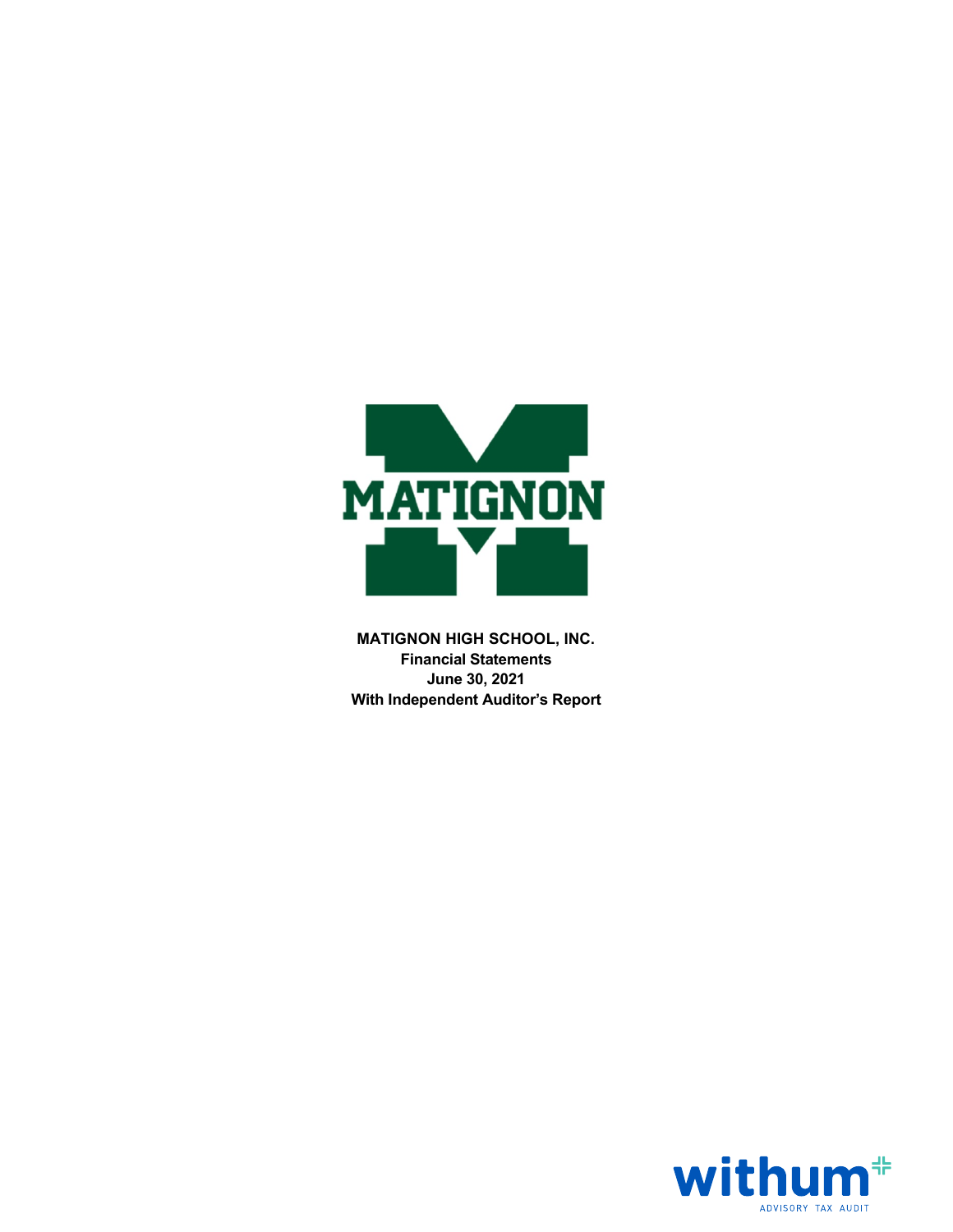

MATIGNON HIGH SCHOOL, INC. Financial Statements June 30, 2021 With Independent Auditor's Report

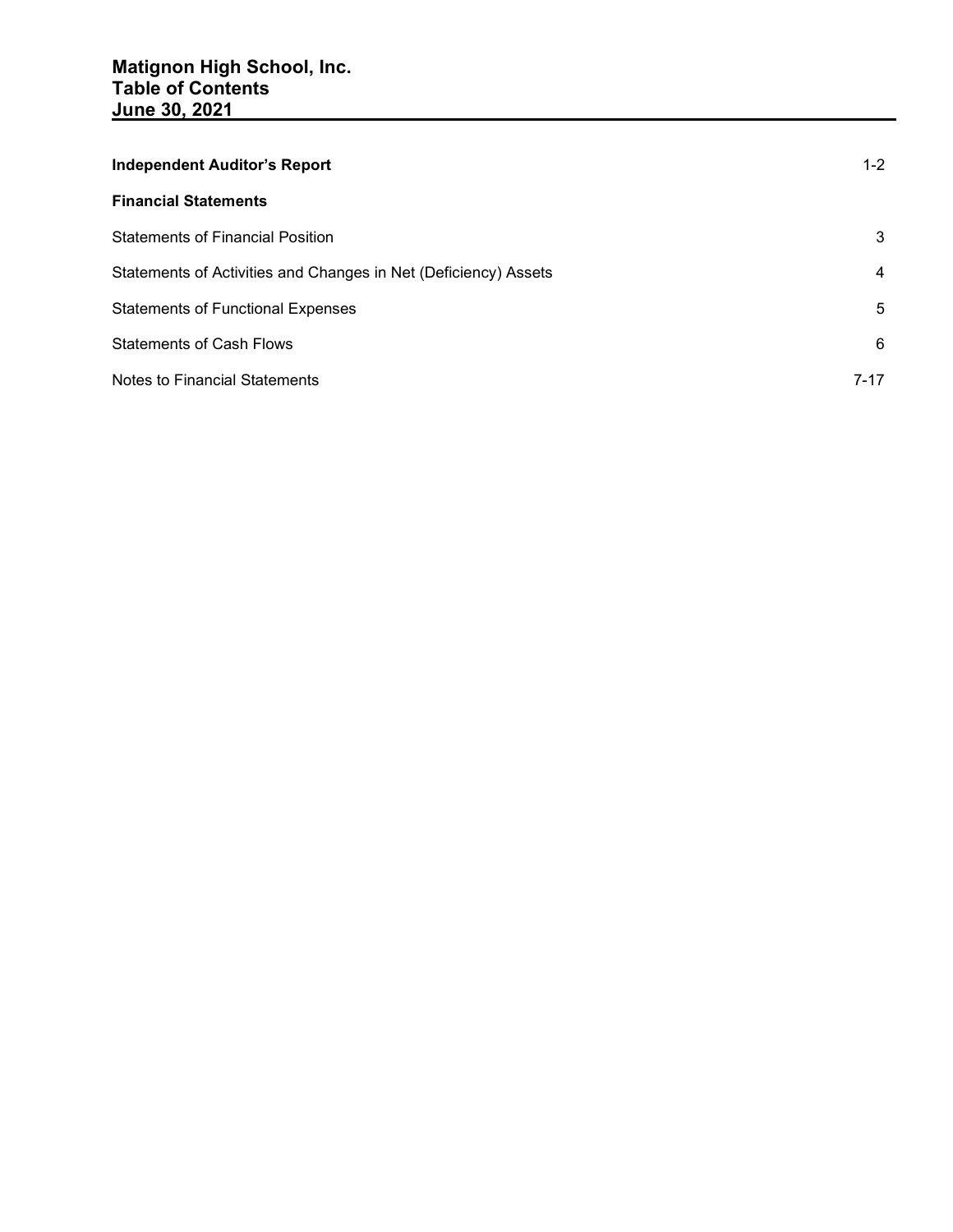| <b>Independent Auditor's Report</b>                             | $1 - 2$ |
|-----------------------------------------------------------------|---------|
| <b>Financial Statements</b>                                     |         |
| <b>Statements of Financial Position</b>                         | 3       |
| Statements of Activities and Changes in Net (Deficiency) Assets | 4       |
| <b>Statements of Functional Expenses</b>                        | 5       |
| <b>Statements of Cash Flows</b>                                 | 6       |
| Notes to Financial Statements                                   | 7-17    |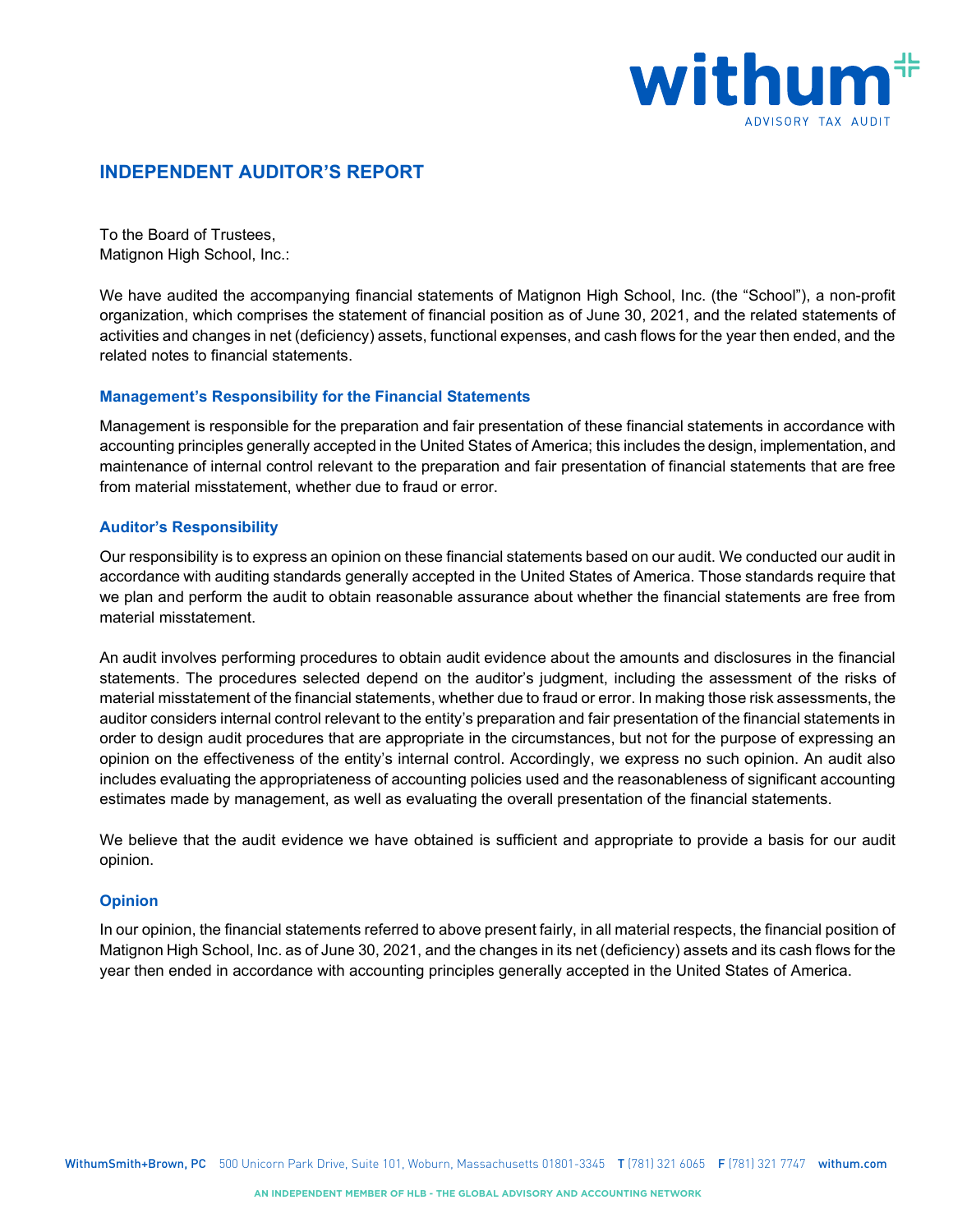

# INDEPENDENT AUDITOR'S REPORT

To the Board of Trustees, Matignon High School, Inc.:

We have audited the accompanying financial statements of Matignon High School, Inc. (the "School"), a non-profit organization, which comprises the statement of financial position as of June 30, 2021, and the related statements of activities and changes in net (deficiency) assets, functional expenses, and cash flows for the year then ended, and the related notes to financial statements.

## Management's Responsibility for the Financial Statements

Management is responsible for the preparation and fair presentation of these financial statements in accordance with accounting principles generally accepted in the United States of America; this includes the design, implementation, and maintenance of internal control relevant to the preparation and fair presentation of financial statements that are free from material misstatement, whether due to fraud or error.

## Auditor's Responsibility

Our responsibility is to express an opinion on these financial statements based on our audit. We conducted our audit in accordance with auditing standards generally accepted in the United States of America. Those standards require that we plan and perform the audit to obtain reasonable assurance about whether the financial statements are free from material misstatement.

An audit involves performing procedures to obtain audit evidence about the amounts and disclosures in the financial statements. The procedures selected depend on the auditor's judgment, including the assessment of the risks of material misstatement of the financial statements, whether due to fraud or error. In making those risk assessments, the auditor considers internal control relevant to the entity's preparation and fair presentation of the financial statements in order to design audit procedures that are appropriate in the circumstances, but not for the purpose of expressing an opinion on the effectiveness of the entity's internal control. Accordingly, we express no such opinion. An audit also includes evaluating the appropriateness of accounting policies used and the reasonableness of significant accounting estimates made by management, as well as evaluating the overall presentation of the financial statements.

We believe that the audit evidence we have obtained is sufficient and appropriate to provide a basis for our audit opinion.

#### **Opinion**

In our opinion, the financial statements referred to above present fairly, in all material respects, the financial position of Matignon High School, Inc. as of June 30, 2021, and the changes in its net (deficiency) assets and its cash flows for the year then ended in accordance with accounting principles generally accepted in the United States of America.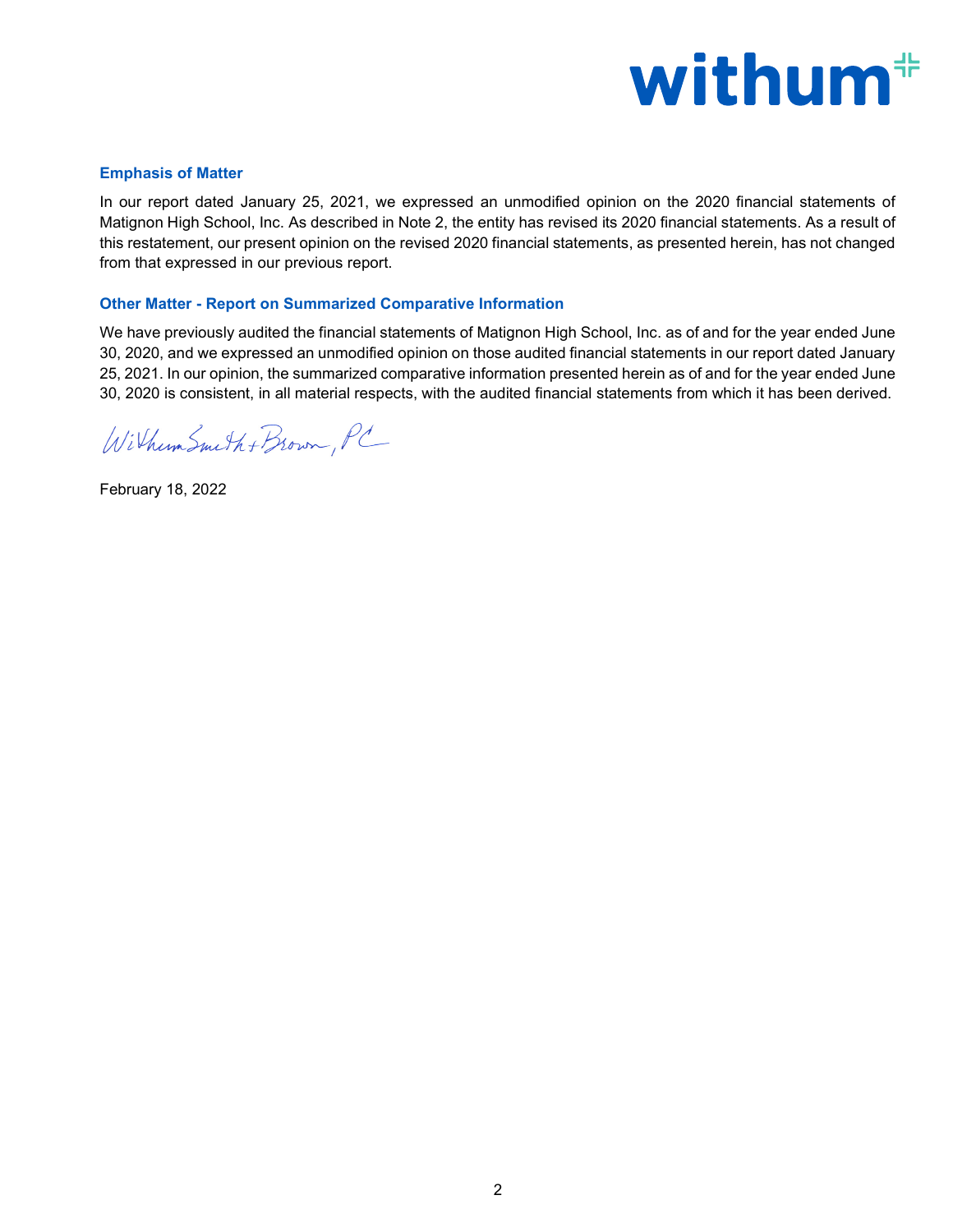

#### Emphasis of Matter

In our report dated January 25, 2021, we expressed an unmodified opinion on the 2020 financial statements of Matignon High School, Inc. As described in Note 2, the entity has revised its 2020 financial statements. As a result of this restatement, our present opinion on the revised 2020 financial statements, as presented herein, has not changed from that expressed in our previous report.

## Other Matter - Report on Summarized Comparative Information

We have previously audited the financial statements of Matignon High School, Inc. as of and for the year ended June 30, 2020, and we expressed an unmodified opinion on those audited financial statements in our report dated January 25, 2021. In our opinion, the summarized comparative information presented herein as of and for the year ended June 30, 2020 is consistent, in all material respects, with the audited financial statements from which it has been derived.

Wilhum Smith + Brown, PC

February 18, 2022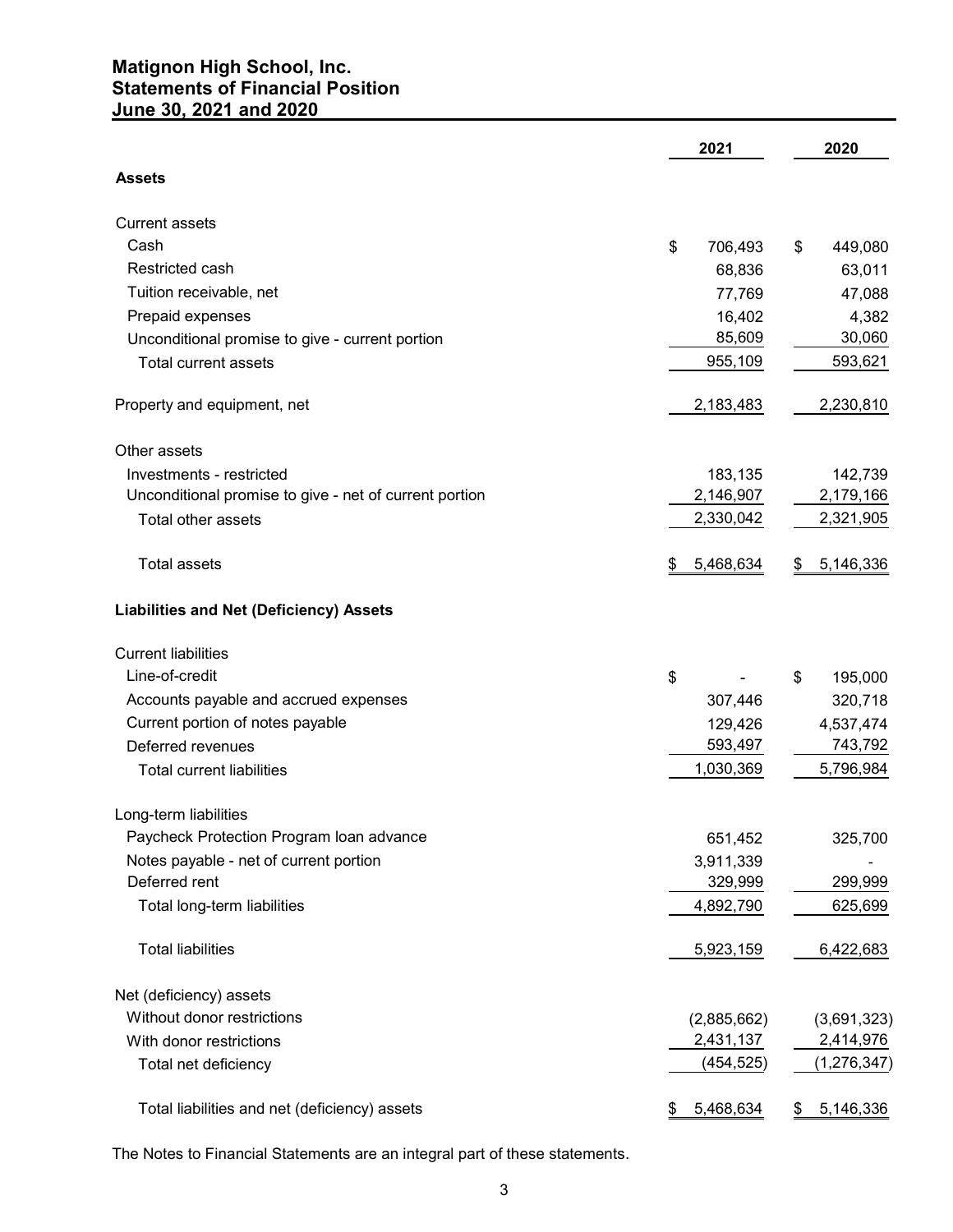# Matignon High School, Inc. Statements of Financial Position June 30, 2021 and 2020

|                                                        | 2021            | 2020            |
|--------------------------------------------------------|-----------------|-----------------|
| <b>Assets</b>                                          |                 |                 |
| <b>Current assets</b>                                  |                 |                 |
| Cash                                                   | \$<br>706,493   | 449,080<br>\$   |
| Restricted cash                                        | 68,836          | 63,011          |
| Tuition receivable, net                                | 77,769          | 47,088          |
| Prepaid expenses                                       | 16,402          | 4,382           |
| Unconditional promise to give - current portion        | 85,609          | 30,060          |
| Total current assets                                   | 955,109         | 593,621         |
| Property and equipment, net                            | 2,183,483       | 2,230,810       |
| Other assets                                           |                 |                 |
| Investments - restricted                               | 183,135         | 142,739         |
| Unconditional promise to give - net of current portion | 2,146,907       | 2,179,166       |
| Total other assets                                     | 2,330,042       | 2,321,905       |
| Total assets                                           | 5,468,634<br>\$ | 5,146,336<br>\$ |
| <b>Liabilities and Net (Deficiency) Assets</b>         |                 |                 |
| <b>Current liabilities</b>                             |                 |                 |
| Line-of-credit                                         | \$              | \$<br>195,000   |
| Accounts payable and accrued expenses                  | 307,446         | 320,718         |
| Current portion of notes payable                       | 129,426         | 4,537,474       |
| Deferred revenues                                      | 593,497         | 743,792         |
| <b>Total current liabilities</b>                       | 1,030,369       | 5,796,984       |
| Long-term liabilities                                  |                 |                 |
| Paycheck Protection Program Ioan advance               | 651,452         | 325,700         |
| Notes payable - net of current portion                 | 3,911,339       |                 |
| Deferred rent                                          | 329,999         | 299,999         |
| Total long-term liabilities                            | 4,892,790       | 625,699         |
| <b>Total liabilities</b>                               | 5,923,159       | 6,422,683       |
| Net (deficiency) assets                                |                 |                 |
| Without donor restrictions                             | (2,885,662)     | (3,691,323)     |
| With donor restrictions                                | 2,431,137       | 2,414,976       |
| Total net deficiency                                   | (454, 525)      | (1, 276, 347)   |
| Total liabilities and net (deficiency) assets          | 5,468,634<br>\$ | 5,146,336<br>\$ |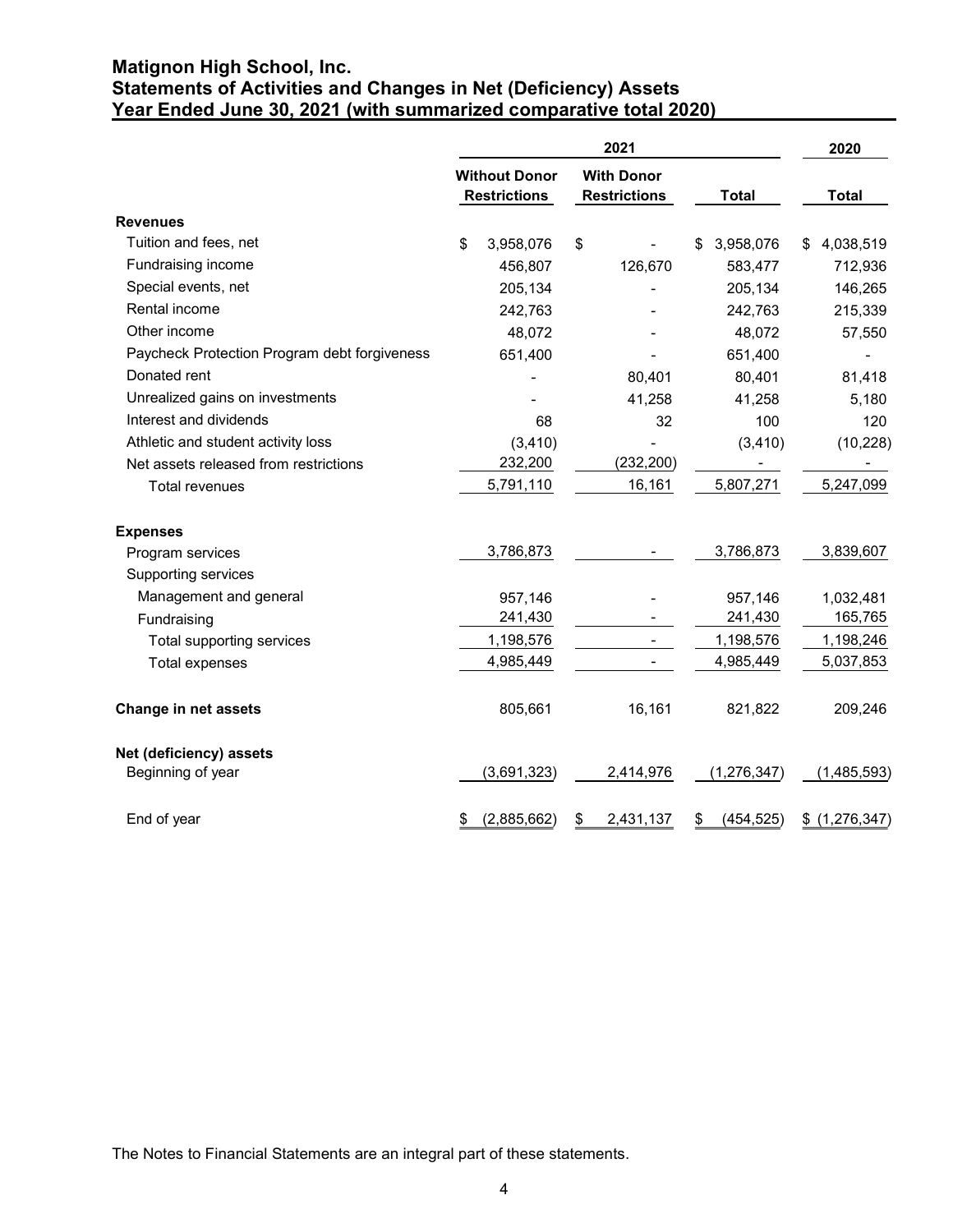# Matignon High School, Inc. Statements of Activities and Changes in Net (Deficiency) Assets Year Ended June 30, 2021 (with summarized comparative total 2020)

|                                              |                                             | 2021                                     |                  | 2020           |
|----------------------------------------------|---------------------------------------------|------------------------------------------|------------------|----------------|
|                                              | <b>Without Donor</b><br><b>Restrictions</b> | <b>With Donor</b><br><b>Restrictions</b> | <b>Total</b>     | <b>Total</b>   |
| <b>Revenues</b>                              |                                             |                                          |                  |                |
| Tuition and fees, net                        | 3,958,076<br>\$                             | \$                                       | \$ 3,958,076     | \$4,038,519    |
| Fundraising income                           | 456,807                                     | 126,670                                  | 583,477          | 712,936        |
| Special events, net                          | 205,134                                     |                                          | 205,134          | 146,265        |
| Rental income                                | 242,763                                     |                                          | 242,763          | 215,339        |
| Other income                                 | 48,072                                      |                                          | 48,072           | 57,550         |
| Paycheck Protection Program debt forgiveness | 651,400                                     |                                          | 651,400          |                |
| Donated rent                                 |                                             | 80,401                                   | 80,401           | 81,418         |
| Unrealized gains on investments              |                                             | 41,258                                   | 41,258           | 5,180          |
| Interest and dividends                       | 68                                          | 32                                       | 100              | 120            |
| Athletic and student activity loss           | (3, 410)                                    |                                          | (3, 410)         | (10, 228)      |
| Net assets released from restrictions        | 232,200                                     | (232, 200)                               |                  |                |
| Total revenues                               | 5,791,110                                   | 16,161                                   | 5,807,271        | 5,247,099      |
| <b>Expenses</b>                              |                                             |                                          |                  |                |
| Program services                             | 3,786,873                                   |                                          | 3,786,873        | 3,839,607      |
| Supporting services                          |                                             |                                          |                  |                |
| Management and general                       | 957,146                                     |                                          | 957,146          | 1,032,481      |
| Fundraising                                  | 241,430                                     |                                          | 241,430          | 165,765        |
| Total supporting services                    | 1,198,576                                   | $\sim$                                   | 1,198,576        | 1,198,246      |
| Total expenses                               | 4,985,449                                   |                                          | 4,985,449        | 5,037,853      |
| Change in net assets                         | 805,661                                     | 16,161                                   | 821,822          | 209,246        |
| Net (deficiency) assets                      |                                             |                                          |                  |                |
| Beginning of year                            | (3,691,323)                                 | 2,414,976                                | (1, 276, 347)    | (1,485,593)    |
| End of year                                  | (2,885,662)                                 | 2,431,137<br>\$                          | (454, 525)<br>\$ | \$ (1,276,347) |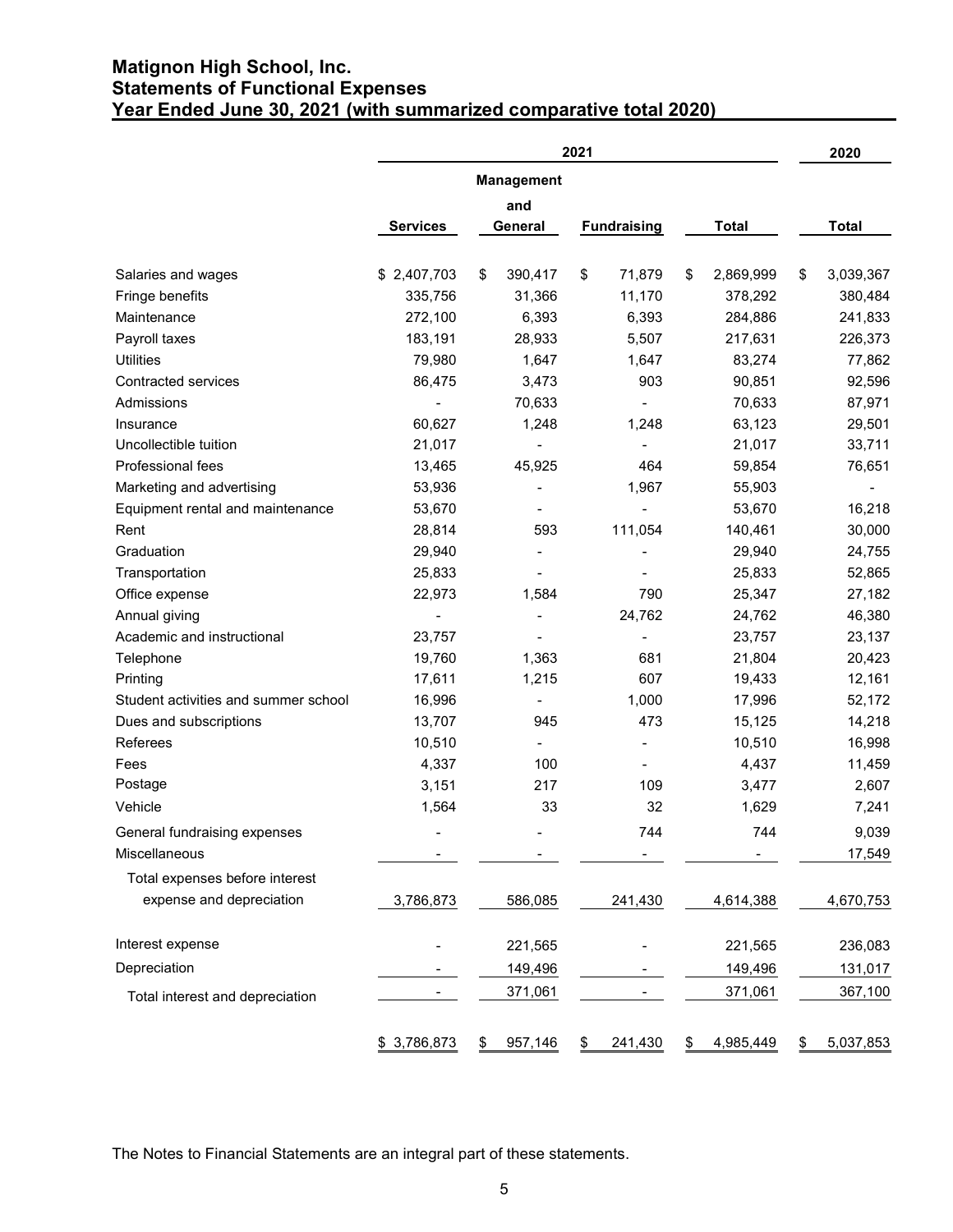# Matignon High School, Inc. Statements of Functional Expenses Year Ended June 30, 2021 (with summarized comparative total 2020)

| Year Ended June 30, 2021 (with summarized comparative total 2020) |                          |                              | 2021                     |                 | 2020             |
|-------------------------------------------------------------------|--------------------------|------------------------------|--------------------------|-----------------|------------------|
|                                                                   |                          | <b>Management</b>            |                          |                 |                  |
|                                                                   |                          | and                          |                          |                 |                  |
|                                                                   | <b>Services</b>          | <b>General</b>               | <b>Fundraising</b>       | <b>Total</b>    | <b>Total</b>     |
| Salaries and wages                                                | \$2,407,703              | 390,417<br>\$                | 71,879<br>\$             | 2,869,999<br>\$ | 3,039,367<br>\$  |
| Fringe benefits                                                   | 335,756                  | 31,366                       | 11,170                   | 378,292         | 380,484          |
| Maintenance                                                       | 272,100                  | 6,393                        | 6,393                    | 284,886         | 241,833          |
| Payroll taxes                                                     | 183,191                  | 28,933                       | 5,507                    | 217,631         | 226,373          |
| Utilities                                                         | 79,980                   | 1,647                        | 1,647                    | 83,274          | 77,862           |
| Contracted services                                               | 86,475                   | 3,473                        | 903                      | 90,851          | 92,596           |
| Admissions                                                        |                          | 70,633                       |                          | 70,633          | 87,971           |
| Insurance                                                         | 60,627                   | 1,248                        | 1,248                    | 63,123          | 29,501           |
| Uncollectible tuition                                             | 21,017                   |                              | $\blacksquare$           | 21,017          | 33,711           |
| Professional fees                                                 | 13,465                   | 45,925                       | 464                      | 59,854          | 76,651           |
| Marketing and advertising                                         | 53,936                   | $\blacksquare$               | 1,967                    | 55,903          |                  |
| Equipment rental and maintenance                                  | 53,670                   | $\qquad \qquad$              | $\blacksquare$           | 53,670          | 16,218           |
| Rent                                                              | 28,814                   | 593                          | 111,054                  | 140,461         | 30,000           |
|                                                                   |                          |                              |                          |                 |                  |
| Graduation                                                        | 29,940                   | $\qquad \qquad \blacksquare$ |                          | 29,940          | 24,755<br>52,865 |
| Transportation                                                    | 25,833                   | $\overline{\phantom{0}}$     | $\overline{\phantom{a}}$ | 25,833          |                  |
| Office expense                                                    | 22,973                   | 1,584                        | 790                      | 25,347          | 27,182           |
| Annual giving                                                     | $\overline{\phantom{a}}$ |                              | 24,762                   | 24,762          | 46,380           |
| Academic and instructional                                        | 23,757                   |                              |                          | 23,757          | 23,137           |
| Telephone                                                         | 19,760                   | 1,363                        | 681                      | 21,804          | 20,423           |
| Printing                                                          | 17,611                   | 1,215                        | 607                      | 19,433          | 12,161           |
| Student activities and summer school                              | 16,996                   |                              | 1,000                    | 17,996          | 52,172           |
| Dues and subscriptions                                            | 13,707                   | 945                          | 473                      | 15,125          | 14,218           |
| Referees                                                          | 10,510                   |                              |                          | 10,510          | 16,998           |
| Fees                                                              | 4,337                    | 100                          |                          | 4,437           | 11,459           |
| Postage                                                           | 3,151                    | 217                          | 109                      | 3,477           | 2,607            |
| Vehicle                                                           | 1,564                    | 33                           | 32                       | 1,629           | 7,241            |
| General fundraising expenses                                      | $\overline{\phantom{a}}$ | $\overline{\phantom{0}}$     | 744                      | 744             | 9,039            |
| Miscellaneous                                                     |                          |                              | $\blacksquare$           |                 | 17,549           |
| Total expenses before interest                                    |                          |                              |                          |                 |                  |
| expense and depreciation                                          | 3,786,873                | 586,085                      | 241,430                  | 4,614,388       | 4,670,753        |
| Interest expense                                                  |                          | 221,565                      |                          | 221,565         | 236,083          |
| Depreciation                                                      |                          | 149,496                      |                          | 149,496         | 131,017          |
| Total interest and depreciation                                   |                          | 371,061                      |                          | 371,061         | 367,100          |
|                                                                   |                          |                              |                          |                 |                  |
|                                                                   | \$3,786,873              | 957,146<br>\$                | 241,430<br>\$            | 4,985,449<br>\$ | 5,037,853<br>\$  |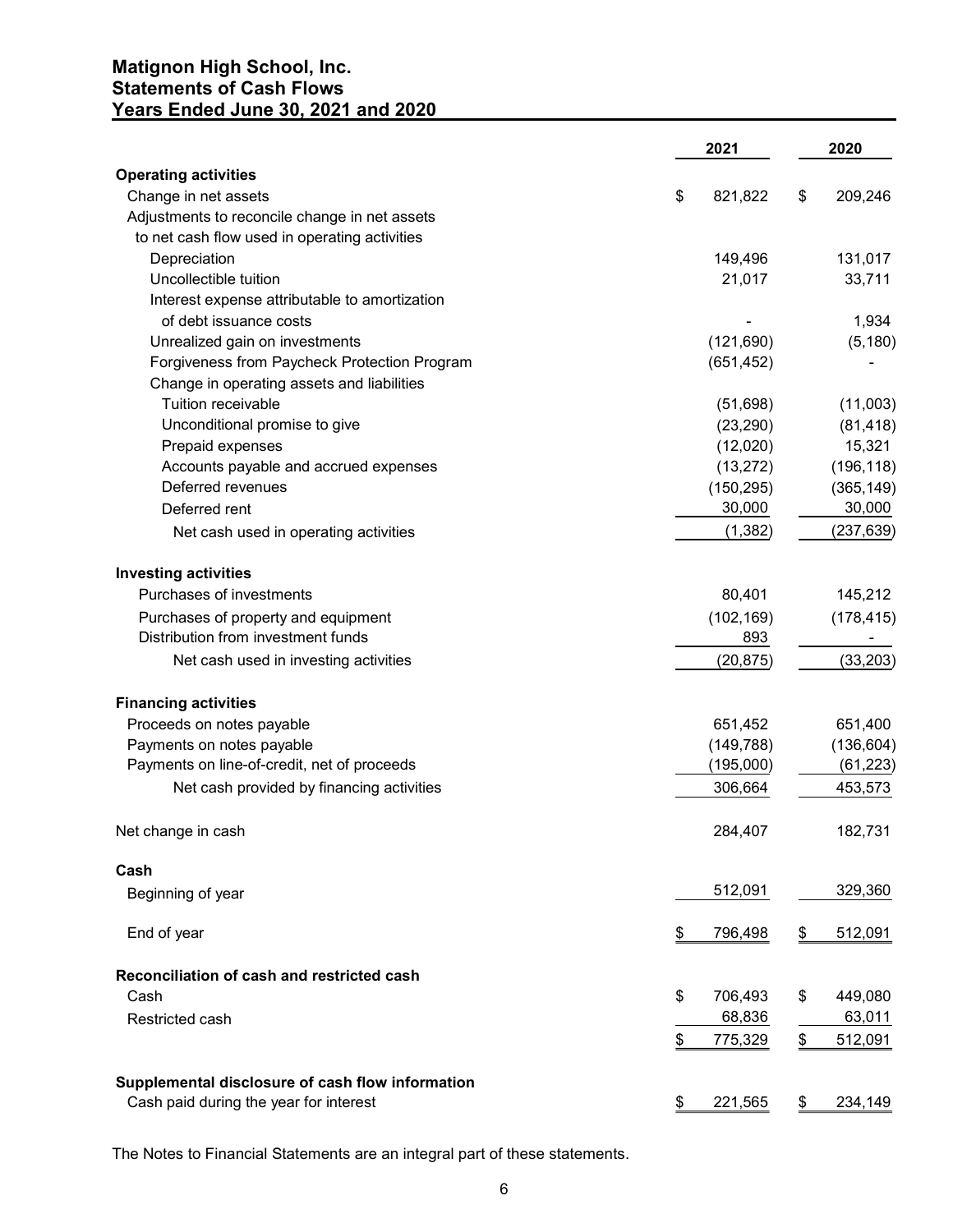# Matignon High School, Inc. Statements of Cash Flows Years Ended June 30, 2021 and 2020

| Years Ended June 30, 2021 and 2020                                                         |                       |                      |
|--------------------------------------------------------------------------------------------|-----------------------|----------------------|
|                                                                                            | 2021                  | 2020                 |
| <b>Operating activities</b>                                                                |                       |                      |
| Change in net assets                                                                       | 821,822<br>\$         | \$<br>209,246        |
| Adjustments to reconcile change in net assets                                              |                       |                      |
| to net cash flow used in operating activities                                              |                       |                      |
| Depreciation<br>Uncollectible tuition                                                      | 149,496<br>21,017     | 131,017<br>33,711    |
| Interest expense attributable to amortization                                              |                       |                      |
| of debt issuance costs                                                                     |                       | 1,934                |
| Unrealized gain on investments                                                             | (121, 690)            | (5, 180)             |
| Forgiveness from Paycheck Protection Program                                               | (651, 452)            |                      |
| Change in operating assets and liabilities                                                 |                       |                      |
| Tuition receivable                                                                         | (51, 698)             | (11,003)             |
| Unconditional promise to give                                                              | (23, 290)             | (81, 418)            |
| Prepaid expenses<br>Accounts payable and accrued expenses                                  | (12,020)<br>(13, 272) | 15,321<br>(196, 118) |
| Deferred revenues                                                                          | (150, 295)            | (365, 149)           |
| Deferred rent                                                                              | 30,000                | 30,000               |
| Net cash used in operating activities                                                      | (1, 382)              | (237, 639)           |
| <b>Investing activities</b>                                                                |                       |                      |
| Purchases of investments                                                                   | 80,401                | 145,212              |
| Purchases of property and equipment<br>Distribution from investment funds                  | (102, 169)<br>893     | (178, 415)<br>$\sim$ |
| Net cash used in investing activities                                                      | (20, 875)             | (33, 203)            |
| <b>Financing activities</b>                                                                |                       |                      |
| Proceeds on notes payable                                                                  | 651,452               | 651,400              |
| Payments on notes payable                                                                  | (149, 788)            | (136, 604)           |
| Payments on line-of-credit, net of proceeds                                                | (195,000)             | (61, 223)            |
| Net cash provided by financing activities                                                  | 306,664               | 453,573              |
| Net change in cash                                                                         | 284,407               | 182,731              |
| Cash                                                                                       |                       |                      |
| Beginning of year                                                                          | 512,091               | 329,360              |
| End of year                                                                                | 796,498<br>\$         | \$<br>512,091        |
| Reconciliation of cash and restricted cash                                                 |                       |                      |
| Cash                                                                                       | \$<br>706,493         | \$<br>449,080        |
| Restricted cash                                                                            | 68,836                | 63,011               |
|                                                                                            | \$<br>775,329         | \$<br>512,091        |
| Supplemental disclosure of cash flow information<br>Cash paid during the year for interest | 221,565               | 234,149              |
|                                                                                            | \$                    | \$                   |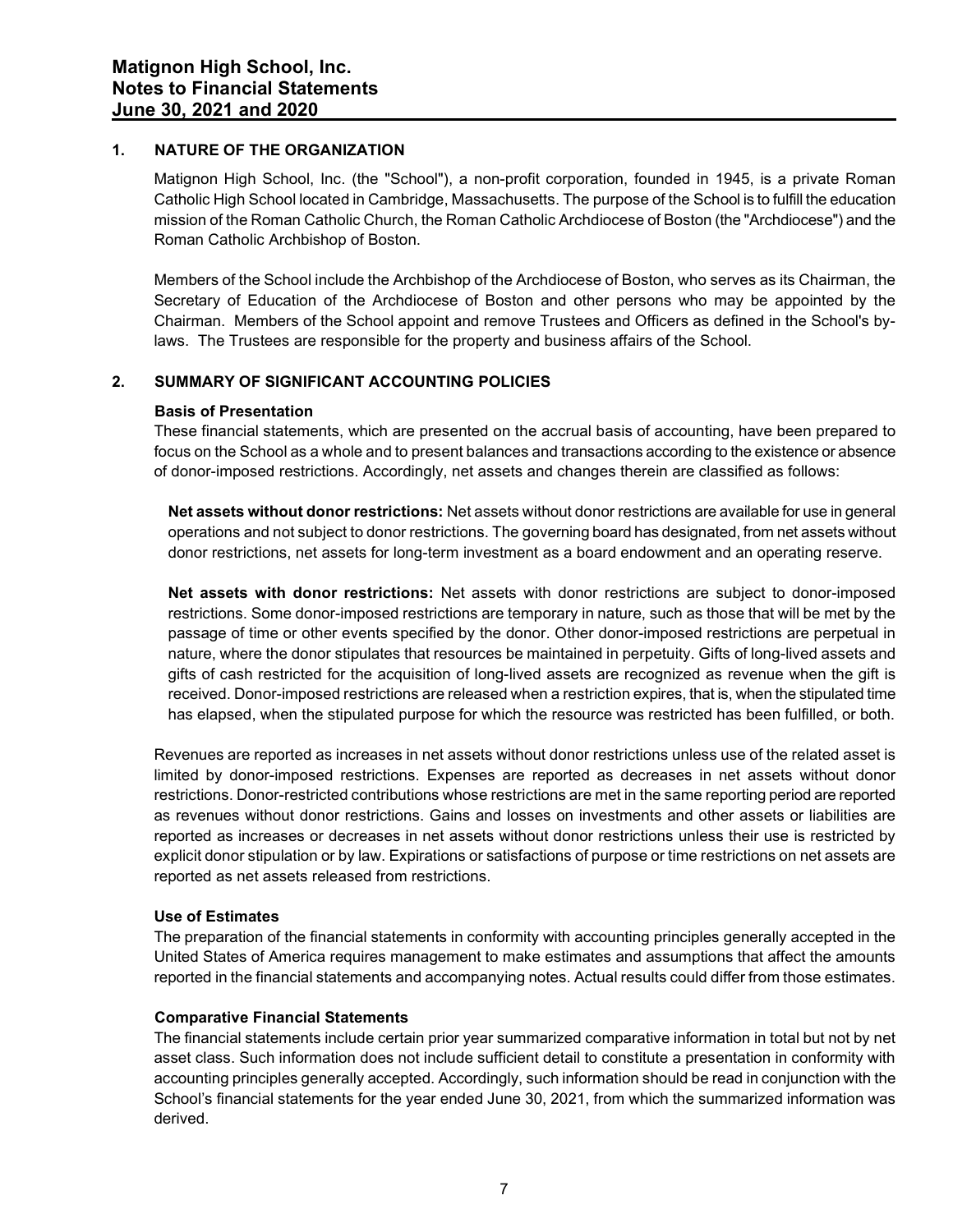## 1. NATURE OF THE ORGANIZATION

Matignon High School, Inc. (the "School"), a non-profit corporation, founded in 1945, is a private Roman Catholic High School located in Cambridge, Massachusetts. The purpose of the School is to fulfill the education mission of the Roman Catholic Church, the Roman Catholic Archdiocese of Boston (the "Archdiocese") and the Roman Catholic Archbishop of Boston.

Members of the School include the Archbishop of the Archdiocese of Boston, who serves as its Chairman, the Secretary of Education of the Archdiocese of Boston and other persons who may be appointed by the Chairman. Members of the School appoint and remove Trustees and Officers as defined in the School's bylaws. The Trustees are responsible for the property and business affairs of the School.

# 2. SUMMARY OF SIGNIFICANT ACCOUNTING POLICIES

## Basis of Presentation

These financial statements, which are presented on the accrual basis of accounting, have been prepared to focus on the School as a whole and to present balances and transactions according to the existence or absence of donor-imposed restrictions. Accordingly, net assets and changes therein are classified as follows:

Net assets without donor restrictions: Net assets without donor restrictions are available for use in general operations and not subject to donor restrictions. The governing board has designated, from net assets without donor restrictions, net assets for long-term investment as a board endowment and an operating reserve.

Net assets with donor restrictions: Net assets with donor restrictions are subject to donor-imposed restrictions. Some donor-imposed restrictions are temporary in nature, such as those that will be met by the passage of time or other events specified by the donor. Other donor-imposed restrictions are perpetual in nature, where the donor stipulates that resources be maintained in perpetuity. Gifts of long-lived assets and gifts of cash restricted for the acquisition of long-lived assets are recognized as revenue when the gift is received. Donor-imposed restrictions are released when a restriction expires, that is, when the stipulated time has elapsed, when the stipulated purpose for which the resource was restricted has been fulfilled, or both.

Revenues are reported as increases in net assets without donor restrictions unless use of the related asset is limited by donor-imposed restrictions. Expenses are reported as decreases in net assets without donor restrictions. Donor-restricted contributions whose restrictions are met in the same reporting period are reported as revenues without donor restrictions. Gains and losses on investments and other assets or liabilities are reported as increases or decreases in net assets without donor restrictions unless their use is restricted by explicit donor stipulation or by law. Expirations or satisfactions of purpose or time restrictions on net assets are reported as net assets released from restrictions.

#### Use of Estimates

The preparation of the financial statements in conformity with accounting principles generally accepted in the United States of America requires management to make estimates and assumptions that affect the amounts reported in the financial statements and accompanying notes. Actual results could differ from those estimates.

#### Comparative Financial Statements

The financial statements include certain prior year summarized comparative information in total but not by net asset class. Such information does not include sufficient detail to constitute a presentation in conformity with accounting principles generally accepted. Accordingly, such information should be read in conjunction with the School's financial statements for the year ended June 30, 2021, from which the summarized information was derived.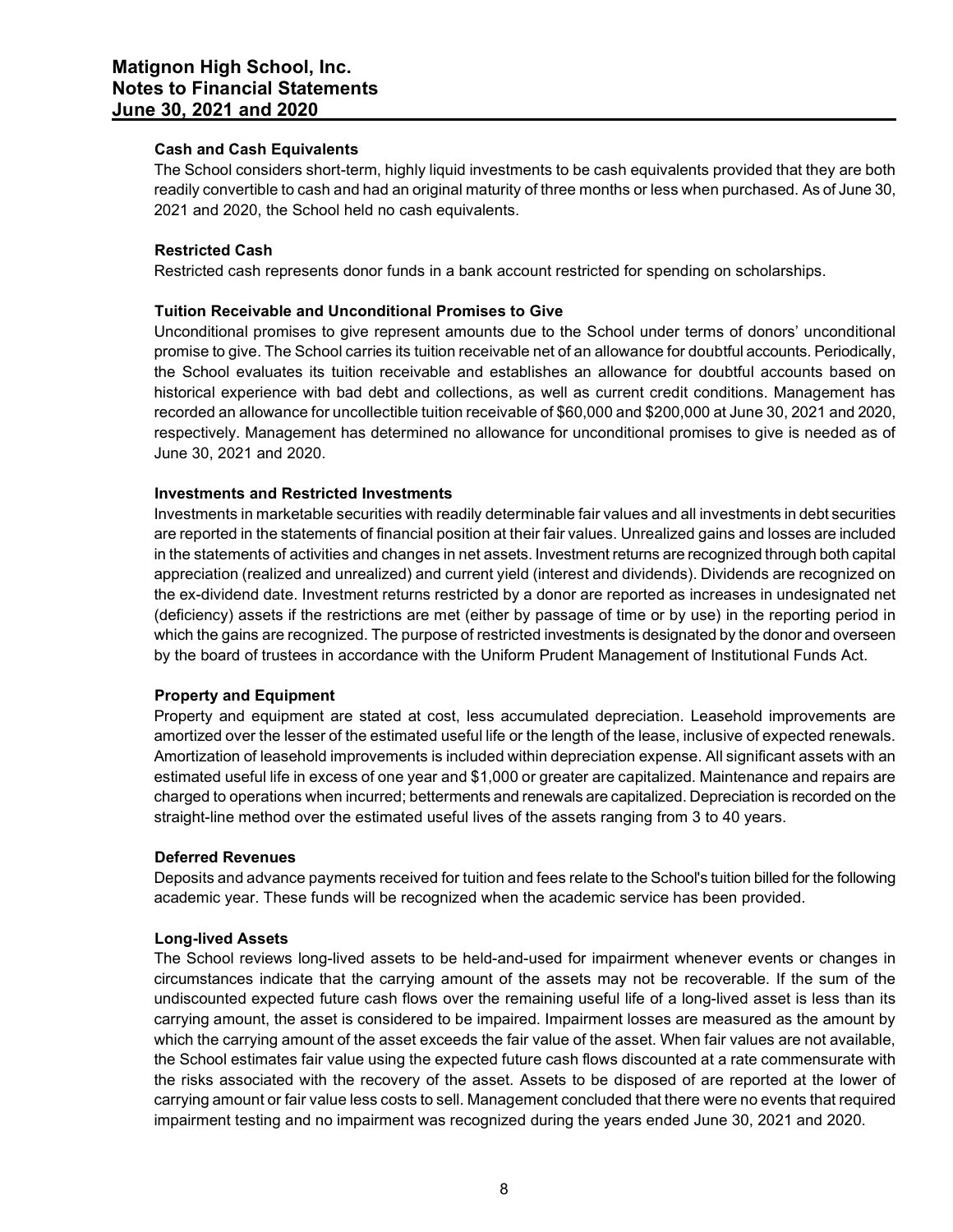## Cash and Cash Equivalents

The School considers short-term, highly liquid investments to be cash equivalents provided that they are both readily convertible to cash and had an original maturity of three months or less when purchased. As of June 30, 2021 and 2020, the School held no cash equivalents.

## Restricted Cash

Restricted cash represents donor funds in a bank account restricted for spending on scholarships.

## Tuition Receivable and Unconditional Promises to Give

Unconditional promises to give represent amounts due to the School under terms of donors' unconditional promise to give. The School carries its tuition receivable net of an allowance for doubtful accounts. Periodically, the School evaluates its tuition receivable and establishes an allowance for doubtful accounts based on historical experience with bad debt and collections, as well as current credit conditions. Management has recorded an allowance for uncollectible tuition receivable of \$60,000 and \$200,000 at June 30, 2021 and 2020, respectively. Management has determined no allowance for unconditional promises to give is needed as of June 30, 2021 and 2020.

## Investments and Restricted Investments

Investments in marketable securities with readily determinable fair values and all investments in debt securities are reported in the statements of financial position at their fair values. Unrealized gains and losses are included in the statements of activities and changes in net assets. Investment returns are recognized through both capital appreciation (realized and unrealized) and current yield (interest and dividends). Dividends are recognized on the ex-dividend date. Investment returns restricted by a donor are reported as increases in undesignated net (deficiency) assets if the restrictions are met (either by passage of time or by use) in the reporting period in which the gains are recognized. The purpose of restricted investments is designated by the donor and overseen by the board of trustees in accordance with the Uniform Prudent Management of Institutional Funds Act.

#### Property and Equipment

Property and equipment are stated at cost, less accumulated depreciation. Leasehold improvements are amortized over the lesser of the estimated useful life or the length of the lease, inclusive of expected renewals. Amortization of leasehold improvements is included within depreciation expense. All significant assets with an estimated useful life in excess of one year and \$1,000 or greater are capitalized. Maintenance and repairs are charged to operations when incurred; betterments and renewals are capitalized. Depreciation is recorded on the straight-line method over the estimated useful lives of the assets ranging from 3 to 40 years.

#### Deferred Revenues

Deposits and advance payments received for tuition and fees relate to the School's tuition billed for the following academic year. These funds will be recognized when the academic service has been provided.

#### Long-lived Assets

The School reviews long-lived assets to be held-and-used for impairment whenever events or changes in circumstances indicate that the carrying amount of the assets may not be recoverable. If the sum of the undiscounted expected future cash flows over the remaining useful life of a long-lived asset is less than its carrying amount, the asset is considered to be impaired. Impairment losses are measured as the amount by which the carrying amount of the asset exceeds the fair value of the asset. When fair values are not available, the School estimates fair value using the expected future cash flows discounted at a rate commensurate with the risks associated with the recovery of the asset. Assets to be disposed of are reported at the lower of carrying amount or fair value less costs to sell. Management concluded that there were no events that required impairment testing and no impairment was recognized during the years ended June 30, 2021 and 2020.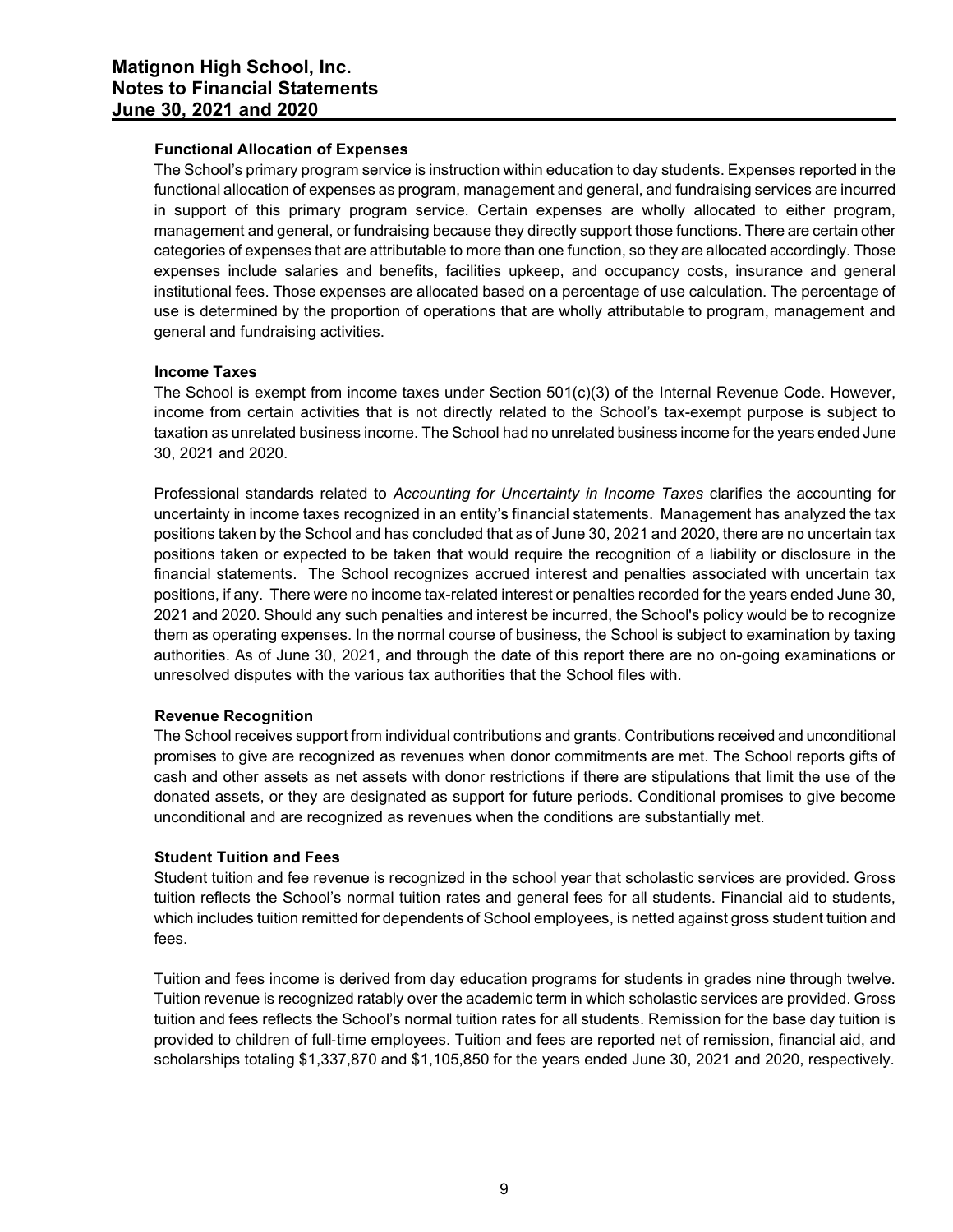## Functional Allocation of Expenses

The School's primary program service is instruction within education to day students. Expenses reported in the functional allocation of expenses as program, management and general, and fundraising services are incurred in support of this primary program service. Certain expenses are wholly allocated to either program, management and general, or fundraising because they directly support those functions. There are certain other categories of expenses that are attributable to more than one function, so they are allocated accordingly. Those expenses include salaries and benefits, facilities upkeep, and occupancy costs, insurance and general institutional fees. Those expenses are allocated based on a percentage of use calculation. The percentage of use is determined by the proportion of operations that are wholly attributable to program, management and general and fundraising activities.

## Income Taxes

The School is exempt from income taxes under Section 501(c)(3) of the Internal Revenue Code. However, income from certain activities that is not directly related to the School's tax-exempt purpose is subject to taxation as unrelated business income. The School had no unrelated business income for the years ended June 30, 2021 and 2020.

Professional standards related to Accounting for Uncertainty in Income Taxes clarifies the accounting for uncertainty in income taxes recognized in an entity's financial statements. Management has analyzed the tax positions taken by the School and has concluded that as of June 30, 2021 and 2020, there are no uncertain tax positions taken or expected to be taken that would require the recognition of a liability or disclosure in the financial statements. The School recognizes accrued interest and penalties associated with uncertain tax positions, if any. There were no income tax-related interest or penalties recorded for the years ended June 30, 2021 and 2020. Should any such penalties and interest be incurred, the School's policy would be to recognize them as operating expenses. In the normal course of business, the School is subject to examination by taxing authorities. As of June 30, 2021, and through the date of this report there are no on-going examinations or unresolved disputes with the various tax authorities that the School files with.

# Revenue Recognition

The School receives support from individual contributions and grants. Contributions received and unconditional promises to give are recognized as revenues when donor commitments are met. The School reports gifts of cash and other assets as net assets with donor restrictions if there are stipulations that limit the use of the donated assets, or they are designated as support for future periods. Conditional promises to give become unconditional and are recognized as revenues when the conditions are substantially met.

## Student Tuition and Fees

Student tuition and fee revenue is recognized in the school year that scholastic services are provided. Gross tuition reflects the School's normal tuition rates and general fees for all students. Financial aid to students, which includes tuition remitted for dependents of School employees, is netted against gross student tuition and fees.

Tuition and fees income is derived from day education programs for students in grades nine through twelve. Tuition revenue is recognized ratably over the academic term in which scholastic services are provided. Gross tuition and fees reflects the School's normal tuition rates for all students. Remission for the base day tuition is provided to children of full‐time employees. Tuition and fees are reported net of remission, financial aid, and scholarships totaling \$1,337,870 and \$1,105,850 for the years ended June 30, 2021 and 2020, respectively.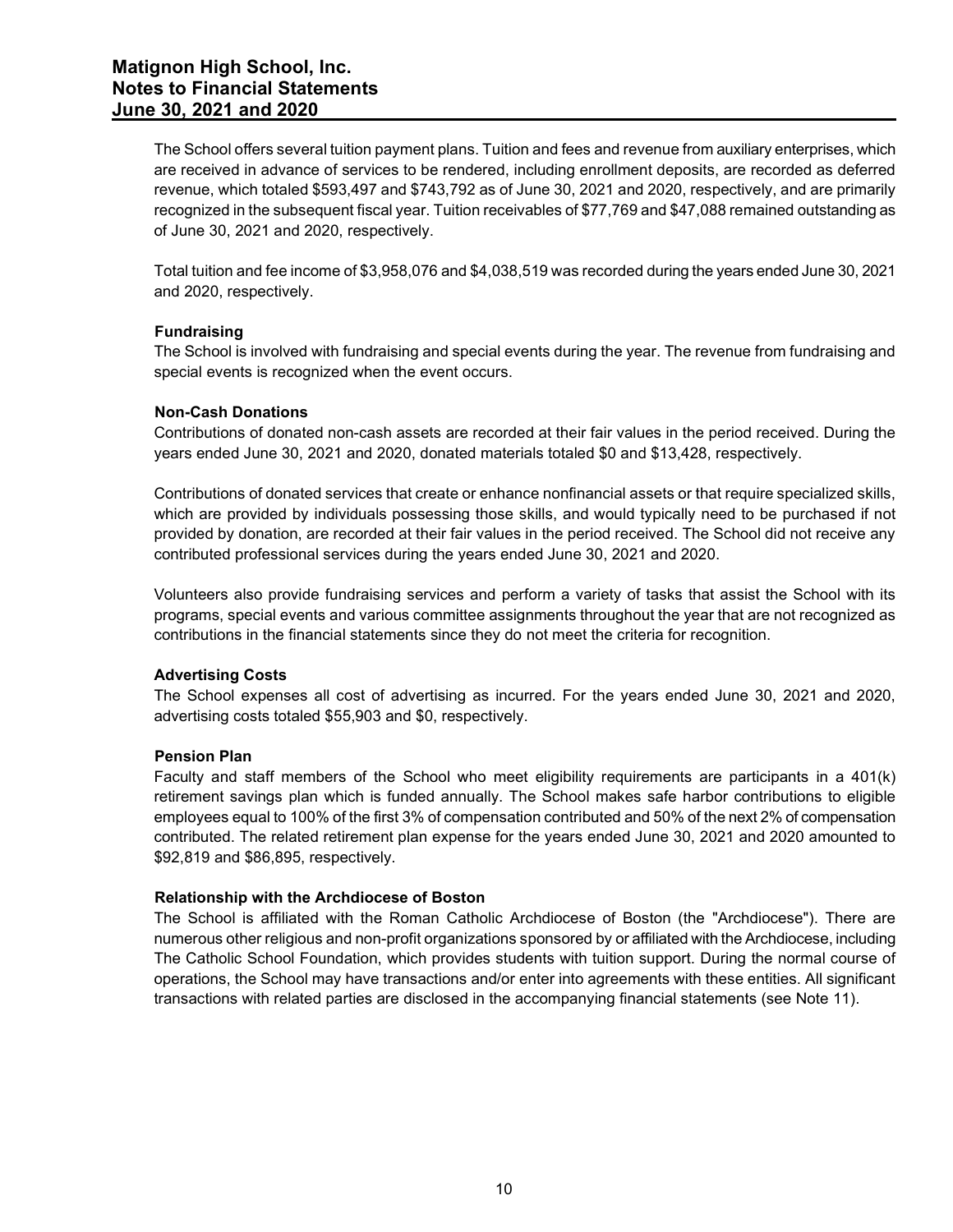The School offers several tuition payment plans. Tuition and fees and revenue from auxiliary enterprises, which are received in advance of services to be rendered, including enrollment deposits, are recorded as deferred revenue, which totaled \$593,497 and \$743,792 as of June 30, 2021 and 2020, respectively, and are primarily recognized in the subsequent fiscal year. Tuition receivables of \$77,769 and \$47,088 remained outstanding as of June 30, 2021 and 2020, respectively.

Total tuition and fee income of \$3,958,076 and \$4,038,519 was recorded during the years ended June 30, 2021 and 2020, respectively.

## Fundraising

The School is involved with fundraising and special events during the year. The revenue from fundraising and special events is recognized when the event occurs.

## Non-Cash Donations

Contributions of donated non-cash assets are recorded at their fair values in the period received. During the years ended June 30, 2021 and 2020, donated materials totaled \$0 and \$13,428, respectively.

Contributions of donated services that create or enhance nonfinancial assets or that require specialized skills, which are provided by individuals possessing those skills, and would typically need to be purchased if not provided by donation, are recorded at their fair values in the period received. The School did not receive any contributed professional services during the years ended June 30, 2021 and 2020.

Volunteers also provide fundraising services and perform a variety of tasks that assist the School with its programs, special events and various committee assignments throughout the year that are not recognized as contributions in the financial statements since they do not meet the criteria for recognition.

#### Advertising Costs

The School expenses all cost of advertising as incurred. For the years ended June 30, 2021 and 2020, advertising costs totaled \$55,903 and \$0, respectively.

#### Pension Plan

Faculty and staff members of the School who meet eligibility requirements are participants in a 401(k) retirement savings plan which is funded annually. The School makes safe harbor contributions to eligible employees equal to 100% of the first 3% of compensation contributed and 50% of the next 2% of compensation contributed. The related retirement plan expense for the years ended June 30, 2021 and 2020 amounted to \$92,819 and \$86,895, respectively.

#### Relationship with the Archdiocese of Boston

The School is affiliated with the Roman Catholic Archdiocese of Boston (the "Archdiocese"). There are numerous other religious and non-profit organizations sponsored by or affiliated with the Archdiocese, including The Catholic School Foundation, which provides students with tuition support. During the normal course of operations, the School may have transactions and/or enter into agreements with these entities. All significant transactions with related parties are disclosed in the accompanying financial statements (see Note 11).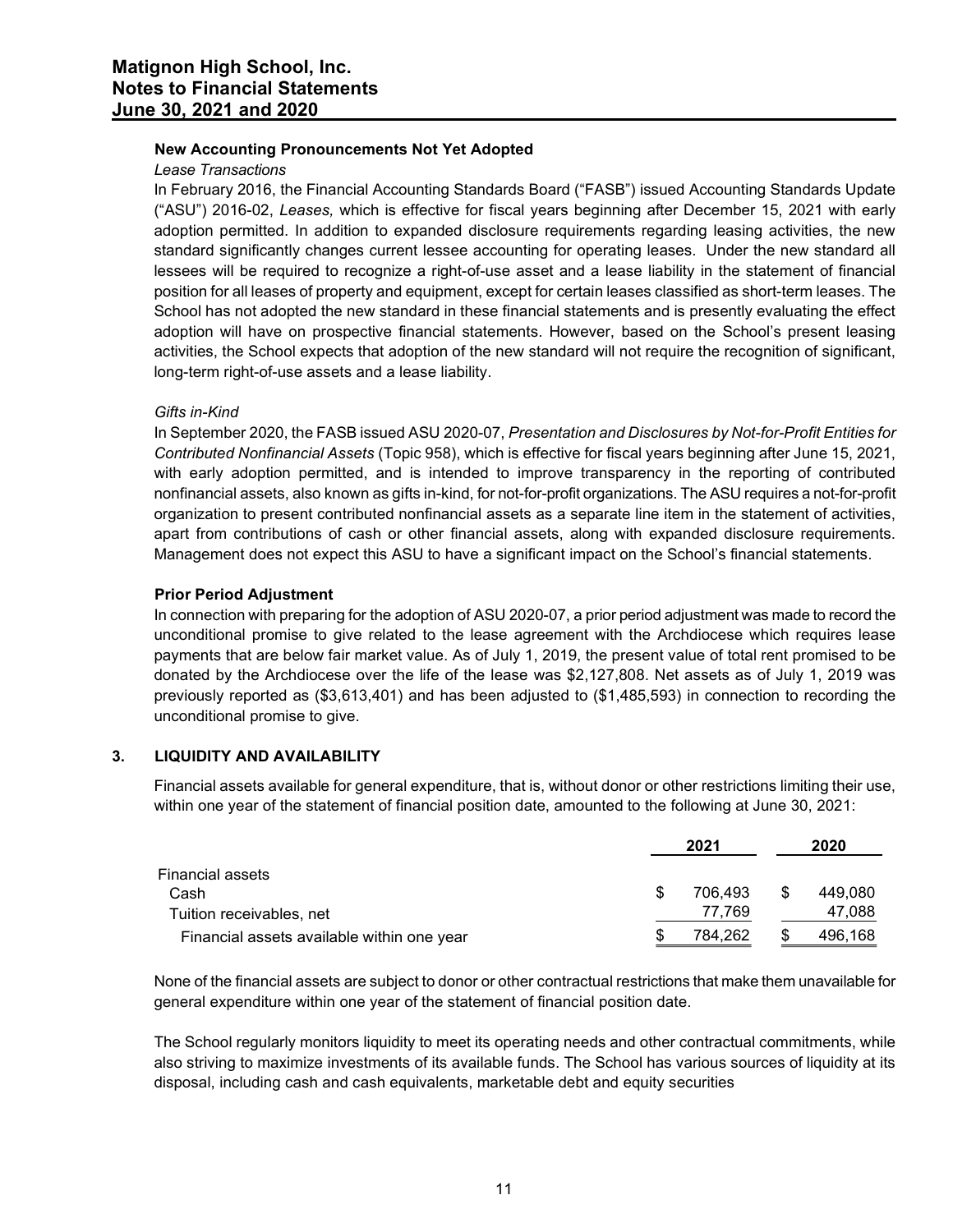# New Accounting Pronouncements Not Yet Adopted

# Lease Transactions

In February 2016, the Financial Accounting Standards Board ("FASB") issued Accounting Standards Update ("ASU") 2016-02, Leases, which is effective for fiscal years beginning after December 15, 2021 with early adoption permitted. In addition to expanded disclosure requirements regarding leasing activities, the new standard significantly changes current lessee accounting for operating leases. Under the new standard all lessees will be required to recognize a right-of-use asset and a lease liability in the statement of financial position for all leases of property and equipment, except for certain leases classified as short-term leases. The School has not adopted the new standard in these financial statements and is presently evaluating the effect adoption will have on prospective financial statements. However, based on the School's present leasing activities, the School expects that adoption of the new standard will not require the recognition of significant, long-term right-of-use assets and a lease liability.

# Gifts in-Kind

In September 2020, the FASB issued ASU 2020-07, Presentation and Disclosures by Not-for-Profit Entities for Contributed Nonfinancial Assets (Topic 958), which is effective for fiscal years beginning after June 15, 2021, with early adoption permitted, and is intended to improve transparency in the reporting of contributed nonfinancial assets, also known as gifts in-kind, for not-for-profit organizations. The ASU requires a not-for-profit organization to present contributed nonfinancial assets as a separate line item in the statement of activities, apart from contributions of cash or other financial assets, along with expanded disclosure requirements. Management does not expect this ASU to have a significant impact on the School's financial statements.

# Prior Period Adjustment

In connection with preparing for the adoption of ASU 2020-07, a prior period adjustment was made to record the unconditional promise to give related to the lease agreement with the Archdiocese which requires lease payments that are below fair market value. As of July 1, 2019, the present value of total rent promised to be donated by the Archdiocese over the life of the lease was \$2,127,808. Net assets as of July 1, 2019 was previously reported as (\$3,613,401) and has been adjusted to (\$1,485,593) in connection to recording the unconditional promise to give.

# 3. LIQUIDITY AND AVAILABILITY

Financial assets available for general expenditure, that is, without donor or other restrictions limiting their use, within one year of the statement of financial position date, amounted to the following at June 30, 2021:

|                                            | 2021    | 2020    |
|--------------------------------------------|---------|---------|
| Financial assets                           |         |         |
| Cash                                       | 706.493 | 449.080 |
| Tuition receivables, net                   | 77.769  | 47.088  |
| Financial assets available within one year | 784,262 | 496,168 |

None of the financial assets are subject to donor or other contractual restrictions that make them unavailable for general expenditure within one year of the statement of financial position date.

The School regularly monitors liquidity to meet its operating needs and other contractual commitments, while also striving to maximize investments of its available funds. The School has various sources of liquidity at its disposal, including cash and cash equivalents, marketable debt and equity securities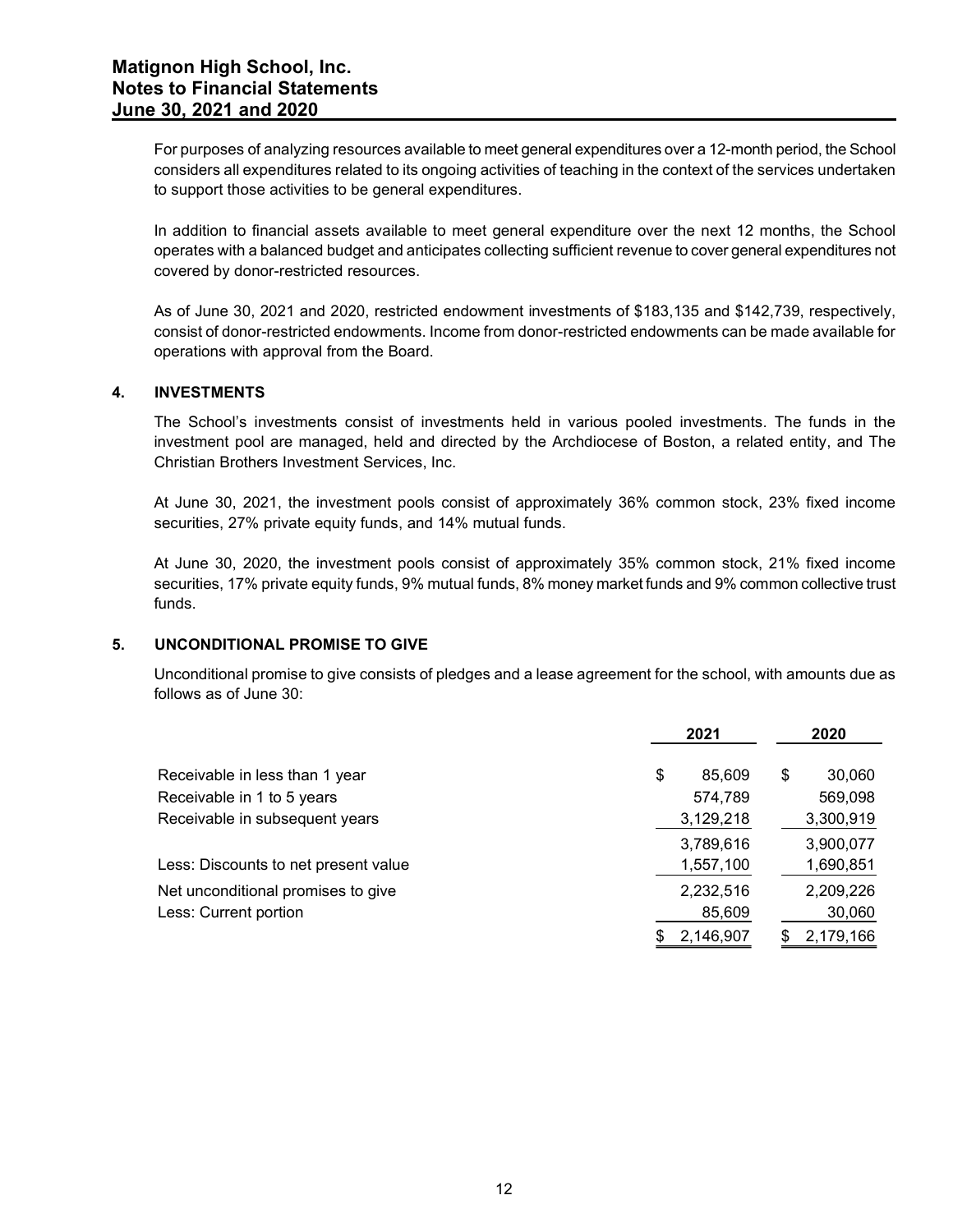For purposes of analyzing resources available to meet general expenditures over a 12-month period, the School considers all expenditures related to its ongoing activities of teaching in the context of the services undertaken to support those activities to be general expenditures.

In addition to financial assets available to meet general expenditure over the next 12 months, the School operates with a balanced budget and anticipates collecting sufficient revenue to cover general expenditures not covered by donor-restricted resources.

As of June 30, 2021 and 2020, restricted endowment investments of \$183,135 and \$142,739, respectively, consist of donor-restricted endowments. Income from donor-restricted endowments can be made available for operations with approval from the Board.

## 4. INVESTMENTS

#### 5. UNCONDITIONAL PROMISE TO GIVE

| INVESTMENTS                                                                                                                                                                                                                                                    |                                      |                                      |
|----------------------------------------------------------------------------------------------------------------------------------------------------------------------------------------------------------------------------------------------------------------|--------------------------------------|--------------------------------------|
| The School's investments consist of investments held in various pooled investments. The funds in the<br>investment pool are managed, held and directed by the Archdiocese of Boston, a related entity, and The<br>Christian Brothers Investment Services, Inc. |                                      |                                      |
| At June 30, 2021, the investment pools consist of approximately 36% common stock, 23% fixed income<br>securities, 27% private equity funds, and 14% mutual funds.                                                                                              |                                      |                                      |
| At June 30, 2020, the investment pools consist of approximately 35% common stock, 21% fixed income<br>securities, 17% private equity funds, 9% mutual funds, 8% money market funds and 9% common collective trust<br>funds.                                    |                                      |                                      |
| UNCONDITIONAL PROMISE TO GIVE                                                                                                                                                                                                                                  |                                      |                                      |
|                                                                                                                                                                                                                                                                |                                      |                                      |
| Unconditional promise to give consists of pledges and a lease agreement for the school, with amounts due as<br>follows as of June 30:                                                                                                                          |                                      |                                      |
|                                                                                                                                                                                                                                                                | 2021                                 | 2020                                 |
| Receivable in less than 1 year<br>Receivable in 1 to 5 years<br>Receivable in subsequent years                                                                                                                                                                 | 85,609<br>\$<br>574,789<br>3,129,218 | \$<br>30,060<br>569,098<br>3,300,919 |
| Less: Discounts to net present value                                                                                                                                                                                                                           | 3,789,616<br>1,557,100               | 3,900,077<br>1,690,851               |
| Net unconditional promises to give<br>Less: Current portion                                                                                                                                                                                                    | 2,232,516<br>85,609                  | 2,209,226<br>30,060                  |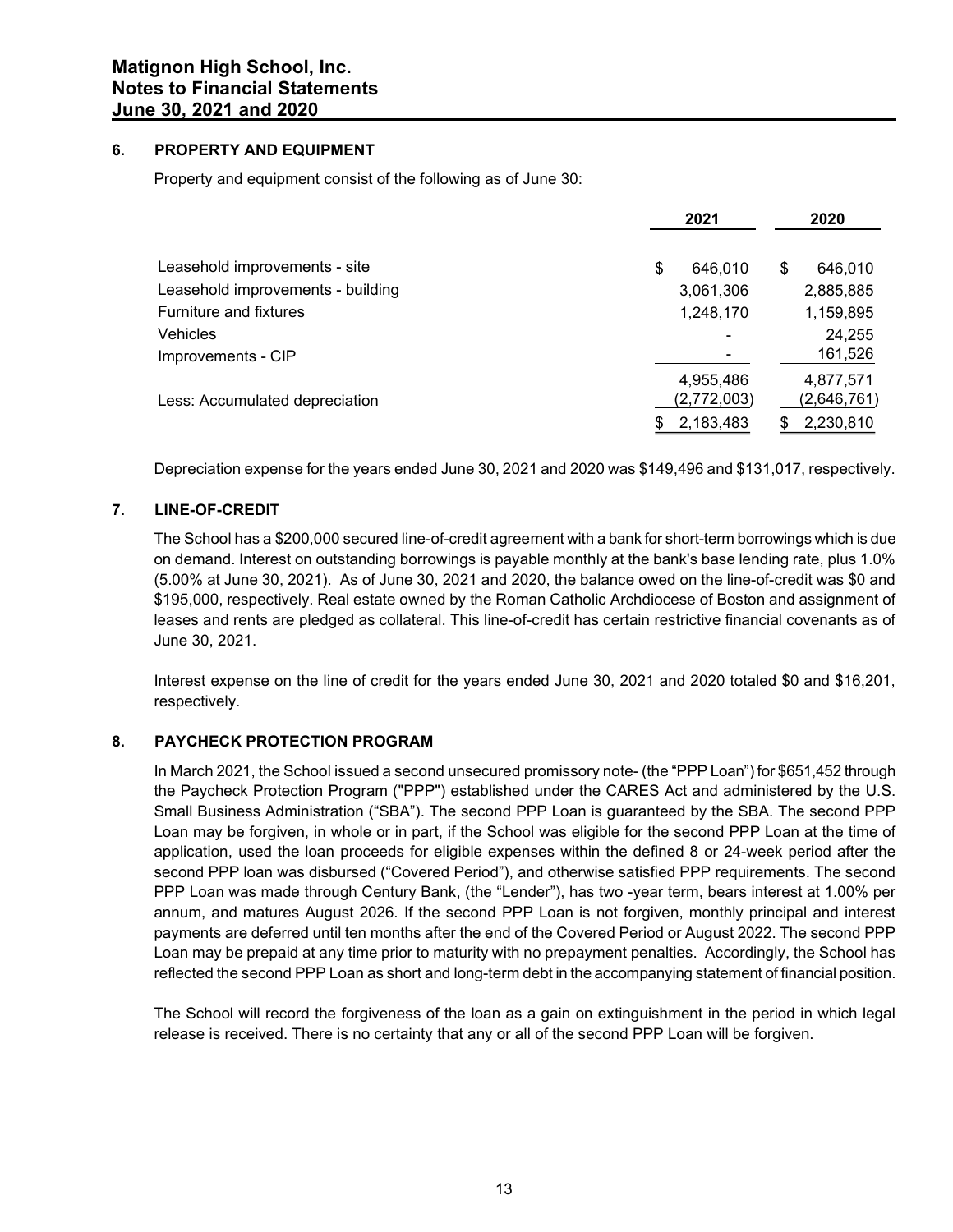## 6. PROPERTY AND EQUIPMENT

Property and equipment consist of the following as of June 30:

|                                   | 2021          | 2020        |
|-----------------------------------|---------------|-------------|
| Leasehold improvements - site     | 646.010<br>\$ | 646,010     |
| Leasehold improvements - building | 3,061,306     | 2,885,885   |
| Furniture and fixtures            | 1,248,170     | 1,159,895   |
| <b>Vehicles</b>                   |               | 24,255      |
| Improvements - CIP                |               | 161,526     |
|                                   | 4,955,486     | 4,877,571   |
| Less: Accumulated depreciation    | (2,772,003)   | (2,646,761) |
|                                   | 2,183,483     | 2,230,810   |

Depreciation expense for the years ended June 30, 2021 and 2020 was \$149,496 and \$131,017, respectively.

# 7. LINE-OF-CREDIT

The School has a \$200,000 secured line-of-credit agreement with a bank for short-term borrowings which is due on demand. Interest on outstanding borrowings is payable monthly at the bank's base lending rate, plus 1.0% (5.00% at June 30, 2021). As of June 30, 2021 and 2020, the balance owed on the line-of-credit was \$0 and \$195,000, respectively. Real estate owned by the Roman Catholic Archdiocese of Boston and assignment of leases and rents are pledged as collateral. This line-of-credit has certain restrictive financial covenants as of June 30, 2021.

Interest expense on the line of credit for the years ended June 30, 2021 and 2020 totaled \$0 and \$16,201, respectively.

# 8. PAYCHECK PROTECTION PROGRAM

In March 2021, the School issued a second unsecured promissory note- (the "PPP Loan") for \$651,452 through the Paycheck Protection Program ("PPP") established under the CARES Act and administered by the U.S. Small Business Administration ("SBA"). The second PPP Loan is guaranteed by the SBA. The second PPP Loan may be forgiven, in whole or in part, if the School was eligible for the second PPP Loan at the time of application, used the loan proceeds for eligible expenses within the defined 8 or 24-week period after the second PPP loan was disbursed ("Covered Period"), and otherwise satisfied PPP requirements. The second PPP Loan was made through Century Bank, (the "Lender"), has two -year term, bears interest at 1.00% per annum, and matures August 2026. If the second PPP Loan is not forgiven, monthly principal and interest payments are deferred until ten months after the end of the Covered Period or August 2022. The second PPP Loan may be prepaid at any time prior to maturity with no prepayment penalties. Accordingly, the School has reflected the second PPP Loan as short and long-term debt in the accompanying statement of financial position.

The School will record the forgiveness of the loan as a gain on extinguishment in the period in which legal release is received. There is no certainty that any or all of the second PPP Loan will be forgiven.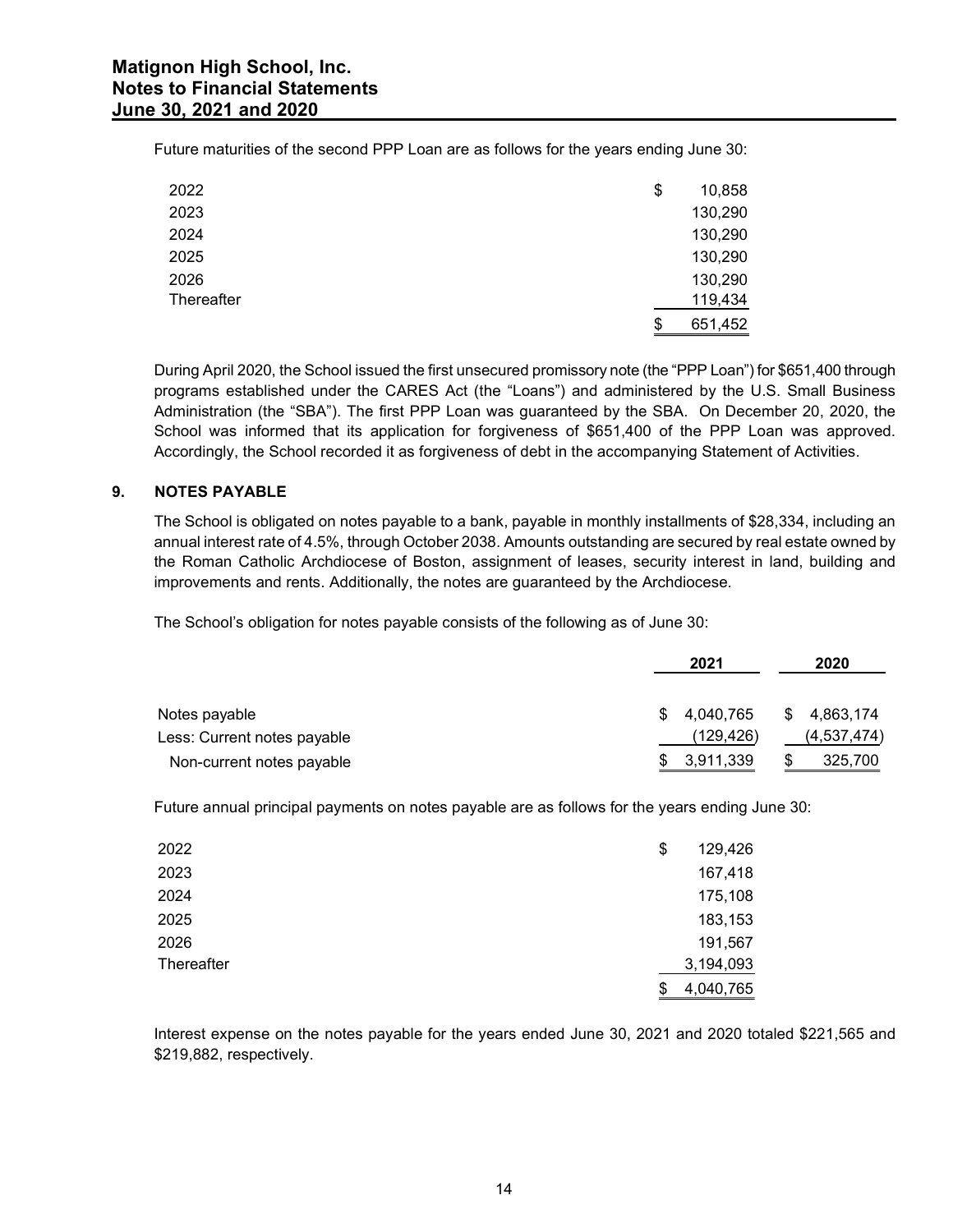| non High School, Inc.<br>to Financial Statements |                                                                                      |  |
|--------------------------------------------------|--------------------------------------------------------------------------------------|--|
|                                                  |                                                                                      |  |
| 80, 2021 and 2020                                | uture maturities of the second PPP Loan are as follows for the years ending June 30: |  |
| 2022                                             | \$<br>10,858                                                                         |  |
| 2023                                             | 130,290                                                                              |  |
| 2024                                             | 130,290                                                                              |  |
| 2025                                             | 130,290                                                                              |  |
| 2026                                             |                                                                                      |  |
| Thereafter                                       | 130,290<br>119,434                                                                   |  |

## 9. NOTES PAYABLE

|                                                                                                                                                                                                                                                                                                                                                                                                                                                                                                                                                | 651,452                            |                          |
|------------------------------------------------------------------------------------------------------------------------------------------------------------------------------------------------------------------------------------------------------------------------------------------------------------------------------------------------------------------------------------------------------------------------------------------------------------------------------------------------------------------------------------------------|------------------------------------|--------------------------|
| During April 2020, the School issued the first unsecured promissory note (the "PPP Loan") for \$651,400 through<br>programs established under the CARES Act (the "Loans") and administered by the U.S. Small Business<br>Administration (the "SBA"). The first PPP Loan was guaranteed by the SBA. On December 20, 2020, the<br>School was informed that its application for forgiveness of \$651,400 of the PPP Loan was approved.<br>Accordingly, the School recorded it as forgiveness of debt in the accompanying Statement of Activities. |                                    |                          |
| <b>NOTES PAYABLE</b>                                                                                                                                                                                                                                                                                                                                                                                                                                                                                                                           |                                    |                          |
| The School is obligated on notes payable to a bank, payable in monthly installments of \$28,334, including an<br>annual interest rate of 4.5%, through October 2038. Amounts outstanding are secured by real estate owned by<br>the Roman Catholic Archdiocese of Boston, assignment of leases, security interest in land, building and<br>improvements and rents. Additionally, the notes are guaranteed by the Archdiocese.<br>The School's obligation for notes payable consists of the following as of June 30:                            |                                    |                          |
|                                                                                                                                                                                                                                                                                                                                                                                                                                                                                                                                                | 2021                               | 2020                     |
| Notes payable                                                                                                                                                                                                                                                                                                                                                                                                                                                                                                                                  | 4,040,765                          | 4,863,174                |
| Less: Current notes payable<br>Non-current notes payable                                                                                                                                                                                                                                                                                                                                                                                                                                                                                       | \$<br>(129,426)<br>3,911,339<br>\$ | (4, 537, 474)<br>325,700 |
| Future annual principal payments on notes payable are as follows for the years ending June 30:                                                                                                                                                                                                                                                                                                                                                                                                                                                 |                                    |                          |
| 2022                                                                                                                                                                                                                                                                                                                                                                                                                                                                                                                                           | \$<br>129,426                      |                          |
| 2023                                                                                                                                                                                                                                                                                                                                                                                                                                                                                                                                           | 167,418                            |                          |
| 2024                                                                                                                                                                                                                                                                                                                                                                                                                                                                                                                                           | 175,108                            |                          |
| 2025                                                                                                                                                                                                                                                                                                                                                                                                                                                                                                                                           | 183,153                            |                          |
| 2026                                                                                                                                                                                                                                                                                                                                                                                                                                                                                                                                           | 191,567                            |                          |

| The School is obligated on notes payable to a bank, payable in monthly installments of \$28,334, including an<br>annual interest rate of 4.5%, through October 2038. Amounts outstanding are secured by real estate owned by<br>the Roman Catholic Archdiocese of Boston, assignment of leases, security interest in land, building and<br>improvements and rents. Additionally, the notes are guaranteed by the Archdiocese. |               |             |
|-------------------------------------------------------------------------------------------------------------------------------------------------------------------------------------------------------------------------------------------------------------------------------------------------------------------------------------------------------------------------------------------------------------------------------|---------------|-------------|
| The School's obligation for notes payable consists of the following as of June 30:                                                                                                                                                                                                                                                                                                                                            |               |             |
|                                                                                                                                                                                                                                                                                                                                                                                                                               | 2021          | 2020        |
| Notes payable                                                                                                                                                                                                                                                                                                                                                                                                                 | 4,040,765     | 4,863,174   |
| Less: Current notes payable                                                                                                                                                                                                                                                                                                                                                                                                   | (129,426)     | (4,537,474) |
| Non-current notes payable                                                                                                                                                                                                                                                                                                                                                                                                     | 3,911,339     | 325,700     |
| Future annual principal payments on notes payable are as follows for the years ending June 30:                                                                                                                                                                                                                                                                                                                                |               |             |
| 2022                                                                                                                                                                                                                                                                                                                                                                                                                          | \$<br>129,426 |             |
| 2023                                                                                                                                                                                                                                                                                                                                                                                                                          | 167,418       |             |
|                                                                                                                                                                                                                                                                                                                                                                                                                               | 175,108       |             |
| 2024                                                                                                                                                                                                                                                                                                                                                                                                                          |               |             |
| 2025                                                                                                                                                                                                                                                                                                                                                                                                                          | 183,153       |             |
| 2026                                                                                                                                                                                                                                                                                                                                                                                                                          | 191,567       |             |
| Thereafter                                                                                                                                                                                                                                                                                                                                                                                                                    | 3,194,093     |             |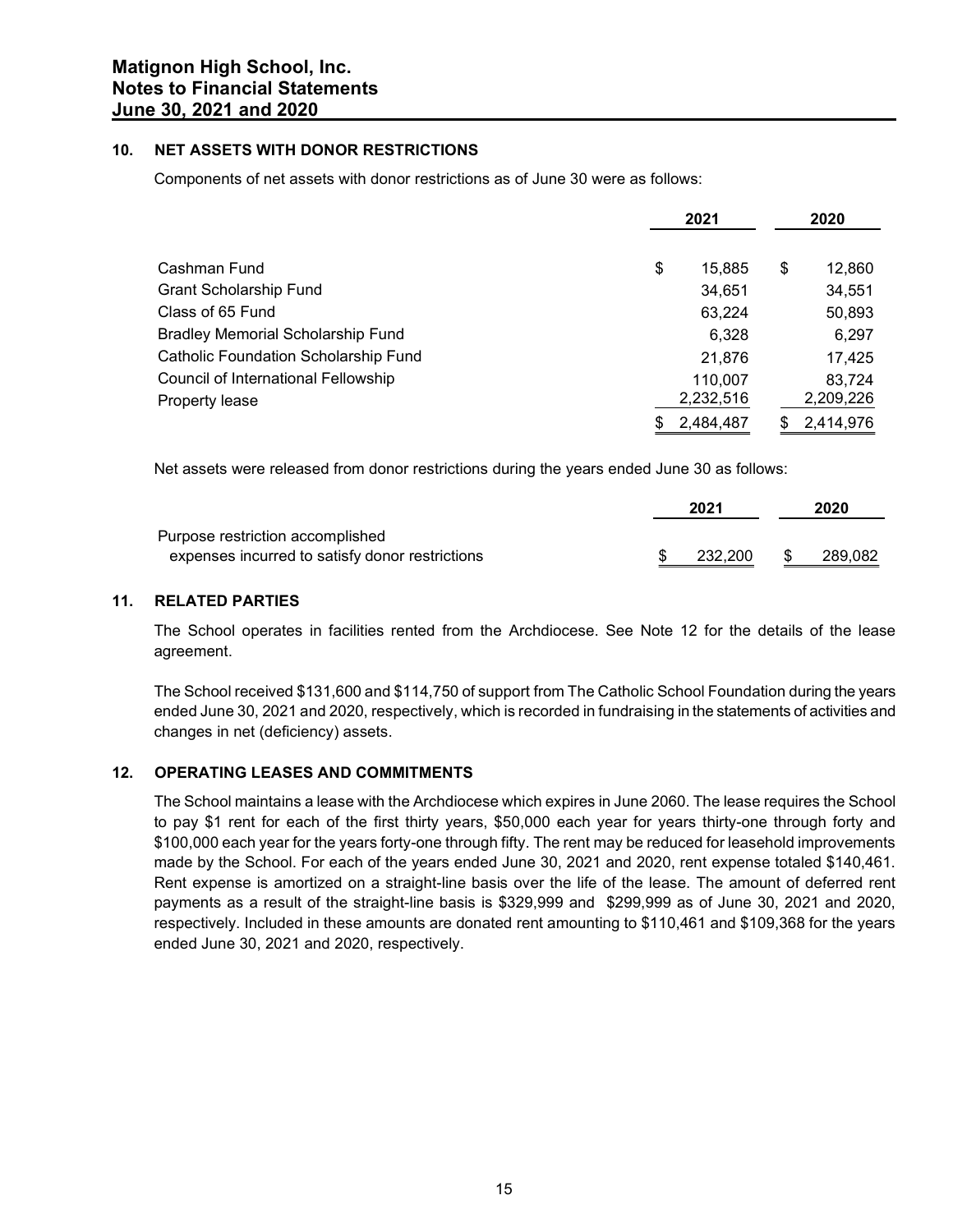# 10. NET ASSETS WITH DONOR RESTRICTIONS

| gnon High School, Inc.                                                                                  |                        |    |                  |
|---------------------------------------------------------------------------------------------------------|------------------------|----|------------------|
| <b>s to Financial Statements</b>                                                                        |                        |    |                  |
| 30, 2021 and 2020                                                                                       |                        |    |                  |
| <b>NET ASSETS WITH DONOR RESTRICTIONS</b>                                                               |                        |    |                  |
| Components of net assets with donor restrictions as of June 30 were as follows:                         |                        |    |                  |
|                                                                                                         |                        |    |                  |
|                                                                                                         | 2021                   |    | 2020             |
|                                                                                                         |                        |    |                  |
| Cashman Fund<br><b>Grant Scholarship Fund</b>                                                           | \$<br>15,885<br>34,651 | \$ | 12,860<br>34,551 |
| Class of 65 Fund                                                                                        | 63,224                 |    | 50,893           |
| <b>Bradley Memorial Scholarship Fund</b>                                                                | 6,328                  |    | 6,297            |
| Catholic Foundation Scholarship Fund                                                                    | 21,876                 |    | 17,425           |
| Council of International Fellowship                                                                     | 110,007                |    | 83,724           |
| Property lease                                                                                          | 2,232,516              |    | 2,209,226        |
|                                                                                                         | \$<br>2,484,487        | \$ | 2,414,976        |
|                                                                                                         |                        |    |                  |
| Net assets were released from donor restrictions during the years ended June 30 as follows:             |                        |    |                  |
|                                                                                                         | 2021                   |    | 2020             |
| Purpose restriction accomplished                                                                        |                        |    |                  |
| expenses incurred to satisfy donor restrictions                                                         | 232,200                | æ. | 289,082          |
| <b>RELATED PARTIES</b>                                                                                  |                        |    |                  |
| The School operates in facilities rented from the Archdiocese. See Note 12 for the details of the lease |                        |    |                  |
| agreement.                                                                                              |                        |    |                  |

|                                                 | 2021    | 2020    |  |
|-------------------------------------------------|---------|---------|--|
| Purpose restriction accomplished                |         |         |  |
| expenses incurred to satisfy donor restrictions | 232,200 | 289,082 |  |

#### 11. RELATED PARTIES

The School received \$131,600 and \$114,750 of support from The Catholic School Foundation during the years ended June 30, 2021 and 2020, respectively, which is recorded in fundraising in the statements of activities and changes in net (deficiency) assets.

#### 12. OPERATING LEASES AND COMMITMENTS

The School maintains a lease with the Archdiocese which expires in June 2060. The lease requires the School to pay \$1 rent for each of the first thirty years, \$50,000 each year for years thirty-one through forty and \$100,000 each year for the years forty-one through fifty. The rent may be reduced for leasehold improvements made by the School. For each of the years ended June 30, 2021 and 2020, rent expense totaled \$140,461. Rent expense is amortized on a straight-line basis over the life of the lease. The amount of deferred rent payments as a result of the straight-line basis is \$329,999 and \$299,999 as of June 30, 2021 and 2020, respectively. Included in these amounts are donated rent amounting to \$110,461 and \$109,368 for the years ended June 30, 2021 and 2020, respectively.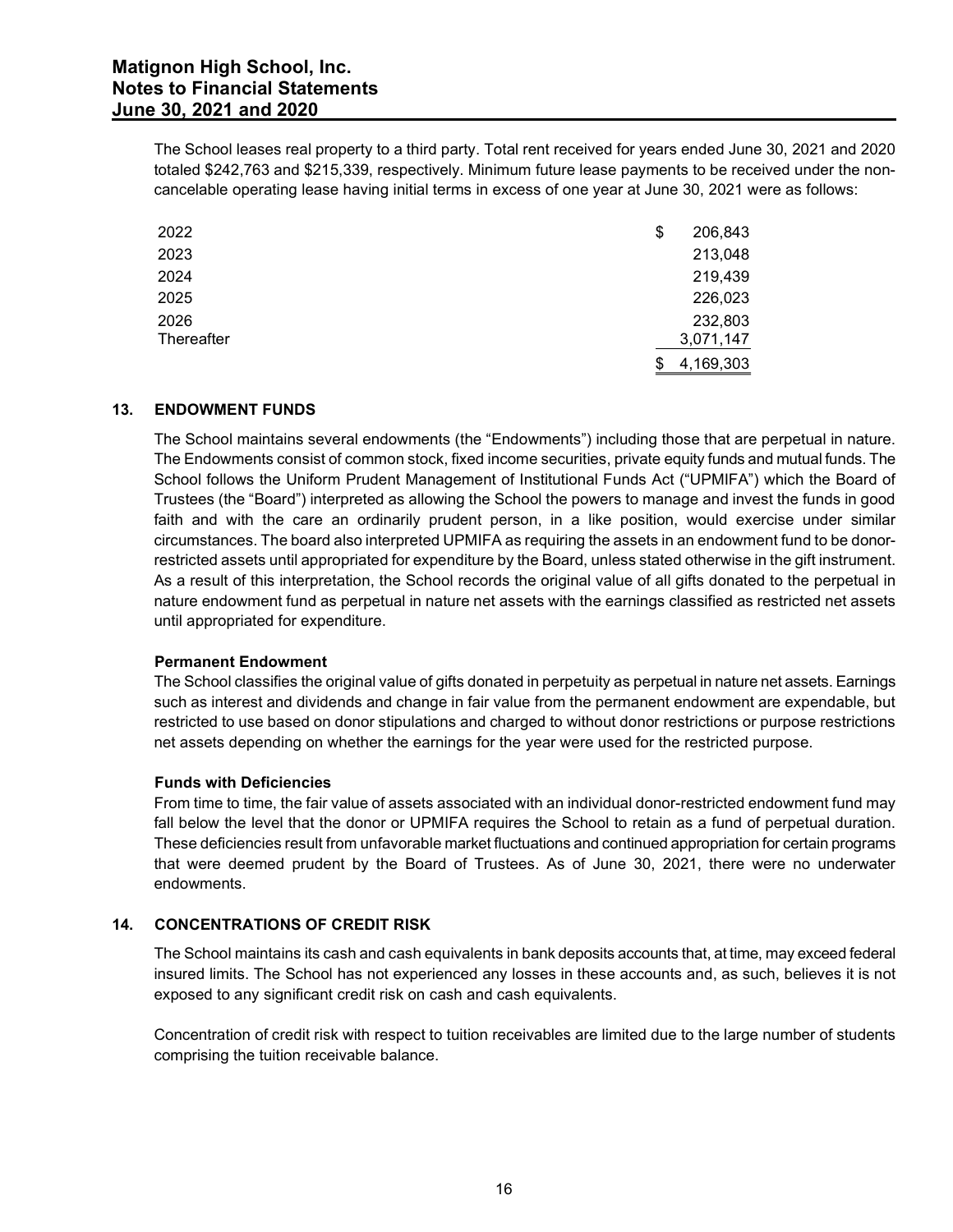| <b>non High School, Inc.</b>                   |                                                                                                              |
|------------------------------------------------|--------------------------------------------------------------------------------------------------------------|
| s to Financial Statements<br>30, 2021 and 2020 |                                                                                                              |
|                                                |                                                                                                              |
|                                                | The School leases real property to a third party. Total rent received for years ended June 30, 2021 and 2020 |
|                                                |                                                                                                              |
|                                                | totaled \$242,763 and \$215,339, respectively. Minimum future lease payments to be received under the non-   |
|                                                | cancelable operating lease having initial terms in excess of one year at June 30, 2021 were as follows:      |
|                                                | \$<br>206,843                                                                                                |
|                                                | 213,048                                                                                                      |
| 2022<br>2023<br>2024                           | 219,439                                                                                                      |
| 2025                                           | 226,023                                                                                                      |
| 2026                                           | 232,803                                                                                                      |
| Thereafter                                     | 3,071,147                                                                                                    |

## 13. ENDOWMENT FUNDS

The School maintains several endowments (the "Endowments") including those that are perpetual in nature. The Endowments consist of common stock, fixed income securities, private equity funds and mutual funds. The School follows the Uniform Prudent Management of Institutional Funds Act ("UPMIFA") which the Board of Trustees (the "Board") interpreted as allowing the School the powers to manage and invest the funds in good faith and with the care an ordinarily prudent person, in a like position, would exercise under similar circumstances. The board also interpreted UPMIFA as requiring the assets in an endowment fund to be donorrestricted assets until appropriated for expenditure by the Board, unless stated otherwise in the gift instrument. As a result of this interpretation, the School records the original value of all gifts donated to the perpetual in nature endowment fund as perpetual in nature net assets with the earnings classified as restricted net assets until appropriated for expenditure.

#### Permanent Endowment

The School classifies the original value of gifts donated in perpetuity as perpetual in nature net assets. Earnings such as interest and dividends and change in fair value from the permanent endowment are expendable, but restricted to use based on donor stipulations and charged to without donor restrictions or purpose restrictions net assets depending on whether the earnings for the year were used for the restricted purpose.

#### Funds with Deficiencies

From time to time, the fair value of assets associated with an individual donor-restricted endowment fund may fall below the level that the donor or UPMIFA requires the School to retain as a fund of perpetual duration. These deficiencies result from unfavorable market fluctuations and continued appropriation for certain programs that were deemed prudent by the Board of Trustees. As of June 30, 2021, there were no underwater endowments.

# 14. CONCENTRATIONS OF CREDIT RISK

The School maintains its cash and cash equivalents in bank deposits accounts that, at time, may exceed federal insured limits. The School has not experienced any losses in these accounts and, as such, believes it is not exposed to any significant credit risk on cash and cash equivalents.

Concentration of credit risk with respect to tuition receivables are limited due to the large number of students comprising the tuition receivable balance.